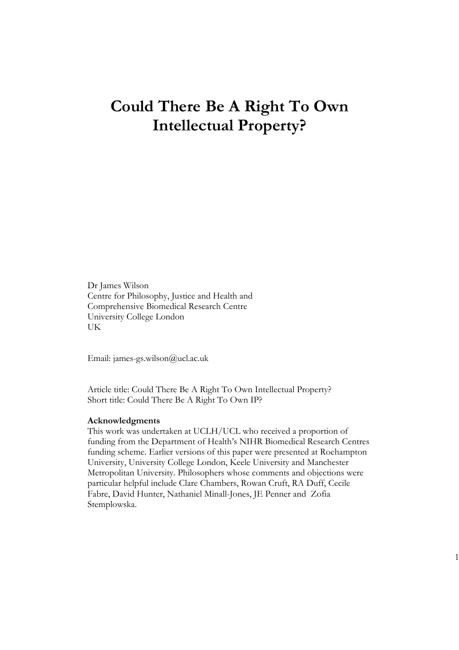# **Could There Be A Right To Own Intellectual Property?**

Dr James Wilson Centre for Philosophy, Justice and Health and Comprehensive Biomedical Research Centre University College London UK

Email: james-gs.wilson@ucl.ac.uk

Article title: Could There Be A Right To Own Intellectual Property? Short title: Could There Be A Right To Own IP?

#### **Acknowledgments**

This work was undertaken at UCLH/UCL who received a proportion of funding from the Department of Health's NIHR Biomedical Research Centres funding scheme. Earlier versions of this paper were presented at Roehampton University, University College London, Keele University and Manchester Metropolitan University. Philosophers whose comments and objections were particular helpful include Clare Chambers, Rowan Cruft, RA Duff, Cecile Fabre, David Hunter, Nathaniel Minall-Jones, JE Penner and Zofia Stemplowska.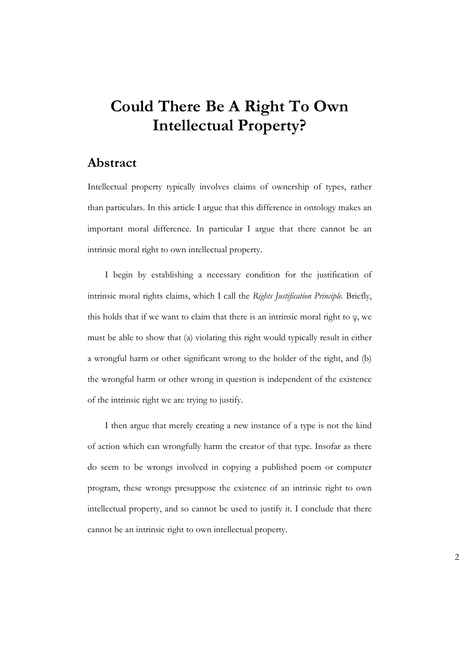# **Could There Be A Right To Own Intellectual Property?**

## **Abstract**

Intellectual property typically involves claims of ownership of types, rather than particulars. In this article I argue that this difference in ontology makes an important moral difference. In particular I argue that there cannot be an intrinsic moral right to own intellectual property.

I begin by establishing a necessary condition for the justification of intrinsic moral rights claims, which I call the *Rights Justification Principle.* Briefly, this holds that if we want to claim that there is an intrinsic moral right to  $\varphi$ , we must be able to show that (a) violating this right would typically result in either a wrongful harm or other significant wrong to the holder of the right, and (b) the wrongful harm or other wrong in question is independent of the existence of the intrinsic right we are trying to justify.

I then argue that merely creating a new instance of a type is not the kind of action which can wrongfully harm the creator of that type. Insofar as there do seem to be wrongs involved in copying a published poem or computer program, these wrongs presuppose the existence of an intrinsic right to own intellectual property, and so cannot be used to justify it. I conclude that there cannot be an intrinsic right to own intellectual property.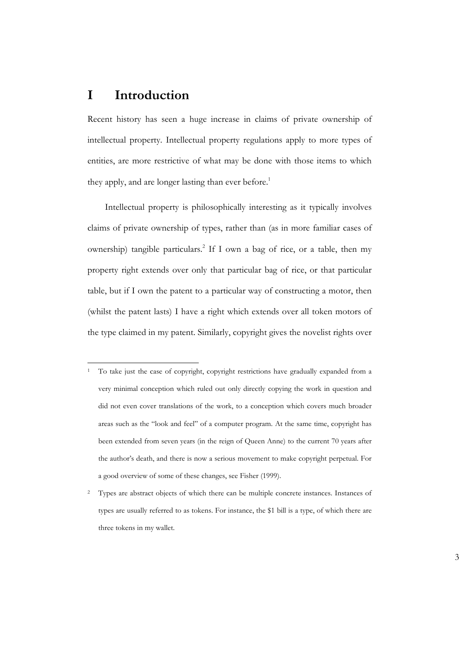## **I Introduction**

Recent history has seen a huge increase in claims of private ownership of intellectual property. Intellectual property regulations apply to more types of entities, are more restrictive of what may be done with those items to which they apply, and are longer lasting than ever before.<sup>1</sup>

Intellectual property is philosophically interesting as it typically involves claims of private ownership of types, rather than (as in more familiar cases of ownership) tangible particulars.<sup>2</sup> If I own a bag of rice, or a table, then my property right extends over only that particular bag of rice, or that particular table, but if I own the patent to a particular way of constructing a motor, then (whilst the patent lasts) I have a right which extends over all token motors of the type claimed in my patent. Similarly, copyright gives the novelist rights over

<sup>1</sup> To take just the case of copyright, copyright restrictions have gradually expanded from a very minimal conception which ruled out only directly copying the work in question and did not even cover translations of the work, to a conception which covers much broader areas such as the "look and feel" of a computer program. At the same time, copyright has been extended from seven years (in the reign of Queen Anne) to the current 70 years after the author's death, and there is now a serious movement to make copyright perpetual. For a good overview of some of these changes, see Fisher (1999).

<sup>&</sup>lt;sup>2</sup> Types are abstract objects of which there can be multiple concrete instances. Instances of types are usually referred to as tokens. For instance, the \$1 bill is a type, of which there are three tokens in my wallet.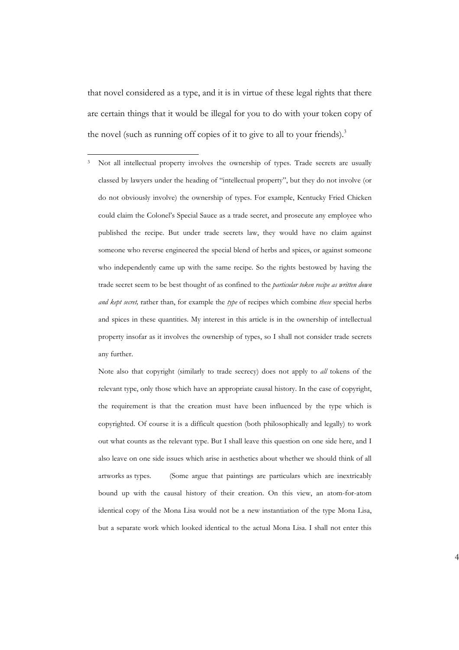that novel considered as a type, and it is in virtue of these legal rights that there are certain things that it would be illegal for you to do with your token copy of the novel (such as running off copies of it to give to all to your friends).<sup>3</sup>

<sup>3</sup> Not all intellectual property involves the ownership of types. Trade secrets are usually classed by lawyers under the heading of "intellectual property", but they do not involve (or do not obviously involve) the ownership of types. For example, Kentucky Fried Chicken could claim the Colonel's Special Sauce as a trade secret, and prosecute any employee who published the recipe. But under trade secrets law, they would have no claim against someone who reverse engineered the special blend of herbs and spices, or against someone who independently came up with the same recipe. So the rights bestowed by having the trade secret seem to be best thought of as confined to the *particular token recipe as written down and kept secret,* rather than, for example the *type* of recipes which combine *these* special herbs and spices in these quantities. My interest in this article is in the ownership of intellectual property insofar as it involves the ownership of types, so I shall not consider trade secrets any further.

Note also that copyright (similarly to trade secrecy) does not apply to *all* tokens of the relevant type, only those which have an appropriate causal history. In the case of copyright, the requirement is that the creation must have been influenced by the type which is copyrighted. Of course it is a difficult question (both philosophically and legally) to work out what counts as the relevant type. But I shall leave this question on one side here, and I also leave on one side issues which arise in aesthetics about whether we should think of all artworks as types. (Some argue that paintings are particulars which are inextricably bound up with the causal history of their creation. On this view, an atom-for-atom identical copy of the Mona Lisa would not be a new instantiation of the type Mona Lisa, but a separate work which looked identical to the actual Mona Lisa. I shall not enter this

4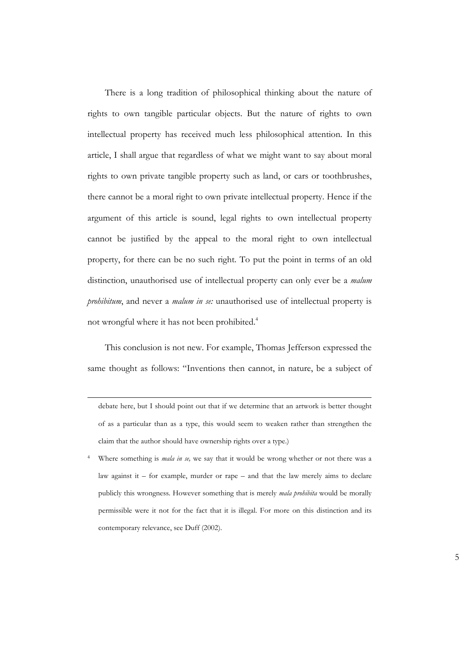There is a long tradition of philosophical thinking about the nature of rights to own tangible particular objects. But the nature of rights to own intellectual property has received much less philosophical attention. In this article, I shall argue that regardless of what we might want to say about moral rights to own private tangible property such as land, or cars or toothbrushes, there cannot be a moral right to own private intellectual property. Hence if the argument of this article is sound, legal rights to own intellectual property cannot be justified by the appeal to the moral right to own intellectual property, for there can be no such right. To put the point in terms of an old distinction, unauthorised use of intellectual property can only ever be a *malum prohibitum*, and never a *malum in se:* unauthorised use of intellectual property is not wrongful where it has not been prohibited.<sup>4</sup>

This conclusion is not new. For example, Thomas Jefferson expressed the same thought as follows: "Inventions then cannot, in nature, be a subject of

debate here, but I should point out that if we determine that an artwork is better thought of as a particular than as a type, this would seem to weaken rather than strengthen the claim that the author should have ownership rights over a type.)

Where something is *mala in se*, we say that it would be wrong whether or not there was a law against it – for example, murder or rape – and that the law merely aims to declare publicly this wrongness. However something that is merely *mala prohibita* would be morally permissible were it not for the fact that it is illegal. For more on this distinction and its contemporary relevance, see Duff (2002).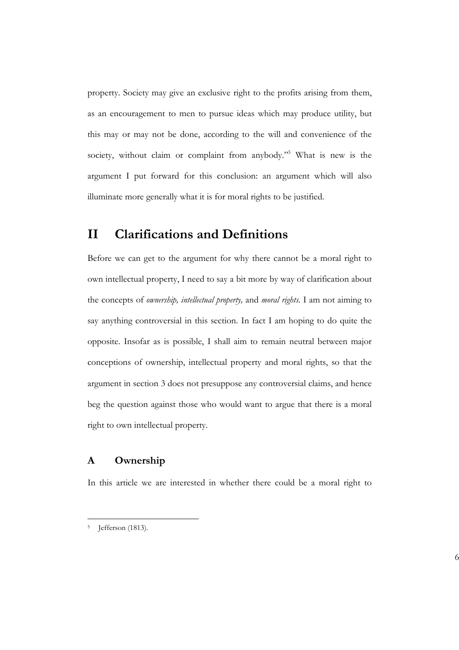property. Society may give an exclusive right to the profits arising from them, as an encouragement to men to pursue ideas which may produce utility, but this may or may not be done, according to the will and convenience of the society, without claim or complaint from anybody."<sup>5</sup> What is new is the argument I put forward for this conclusion: an argument which will also illuminate more generally what it is for moral rights to be justified.

## **II Clarifications and Definitions**

Before we can get to the argument for why there cannot be a moral right to own intellectual property, I need to say a bit more by way of clarification about the concepts of *ownership, intellectual property,* and *moral rights*. I am not aiming to say anything controversial in this section. In fact I am hoping to do quite the opposite. Insofar as is possible, I shall aim to remain neutral between major conceptions of ownership, intellectual property and moral rights, so that the argument in section 3 does not presuppose any controversial claims, and hence beg the question against those who would want to argue that there is a moral right to own intellectual property.

### **A Ownership**

In this article we are interested in whether there could be a moral right to

<sup>5</sup> Jefferson (1813).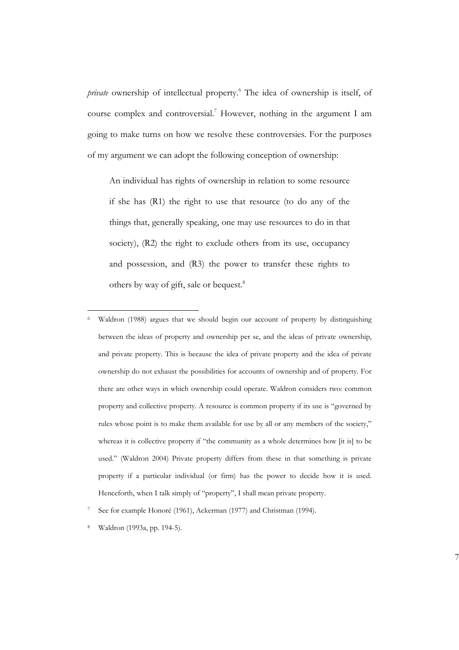*private* ownership of intellectual property.<sup>6</sup> The idea of ownership is itself, of course complex and controversial.<sup>7</sup> However, nothing in the argument I am going to make turns on how we resolve these controversies. For the purposes of my argument we can adopt the following conception of ownership:

An individual has rights of ownership in relation to some resource if she has (R1) the right to use that resource (to do any of the things that, generally speaking, one may use resources to do in that society),  $(R2)$  the right to exclude others from its use, occupancy and possession, and (R3) the power to transfer these rights to others by way of gift, sale or bequest.<sup>8</sup>

Waldron (1988) argues that we should begin our account of property by distinguishing between the ideas of property and ownership per se, and the ideas of private ownership, and private property. This is because the idea of private property and the idea of private ownership do not exhaust the possibilities for accounts of ownership and of property. For there are other ways in which ownership could operate. Waldron considers two: common property and collective property. A resource is common property if its use is "governed by rules whose point is to make them available for use by all or any members of the society," whereas it is collective property if "the community as a whole determines how [it is] to be used." (Waldron 2004) Private property differs from these in that something is private property if a particular individual (or firm) has the power to decide how it is used. Henceforth, when I talk simply of "property", I shall mean private property.

<sup>7</sup> See for example Honoré (1961), Ackerman (1977) and Christman (1994).

<sup>8</sup> Waldron (1993a, pp. 194-5).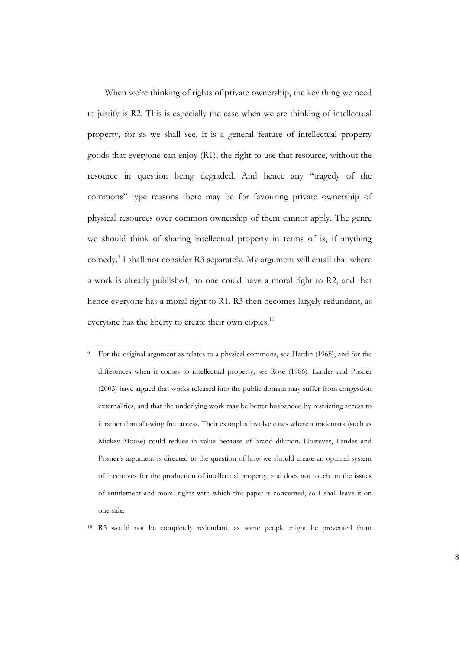When we're thinking of rights of private ownership, the key thing we need to justify is R2. This is especially the case when we are thinking of intellectual property, for as we shall see, it is a general feature of intellectual property goods that everyone can enjoy (R1), the right to use that resource, without the resource in question being degraded. And hence any "tragedy of the commons" type reasons there may be for favouring private ownership of physical resources over common ownership of them cannot apply. The genre we should think of sharing intellectual property in terms of is, if anything comedy.<sup>9</sup> I shall not consider R3 separately. My argument will entail that where a work is already published, no one could have a moral right to R2, and that hence everyone has a moral right to R1. R3 then becomes largely redundant, as everyone has the liberty to create their own copies.<sup>10</sup>

<sup>9</sup> For the original argument as relates to a physical commons, see Hardin (1968), and for the differences when it comes to intellectual property, see Rose (1986). Landes and Posner (2003) have argued that works released into the public domain may suffer from congestion externalities, and that the underlying work may be better husbanded by restricting access to it rather than allowing free access. Their examples involve cases where a trademark (such as Mickey Mouse) could reduce in value because of brand dilution. However, Landes and Posner's argument is directed to the question of how we should create an optimal system of incentives for the production of intellectual property, and does not touch on the issues of entitlement and moral rights with which this paper is concerned, so I shall leave it on one side.

<sup>10</sup> R3 would not be completely redundant, as some people might be prevented from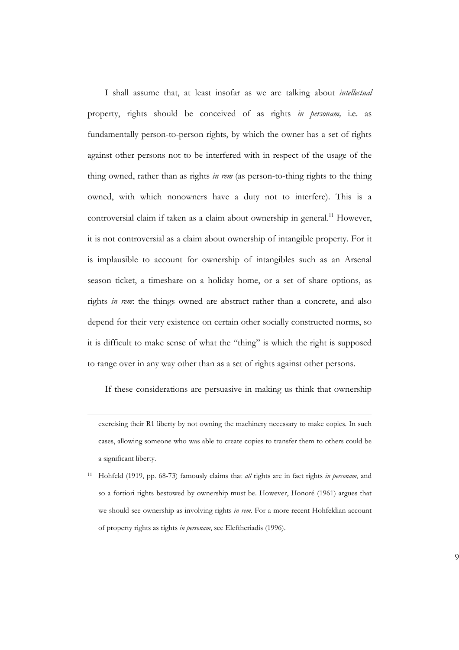I shall assume that, at least insofar as we are talking about *intellectual* property, rights should be conceived of as rights *in personam,* i.e. as fundamentally person-to-person rights, by which the owner has a set of rights against other persons not to be interfered with in respect of the usage of the thing owned, rather than as rights *in rem* (as person-to-thing rights to the thing owned, with which nonowners have a duty not to interfere). This is a controversial claim if taken as a claim about ownership in general.<sup>11</sup> However, it is not controversial as a claim about ownership of intangible property. For it is implausible to account for ownership of intangibles such as an Arsenal season ticket, a timeshare on a holiday home, or a set of share options, as rights *in rem*: the things owned are abstract rather than a concrete, and also depend for their very existence on certain other socially constructed norms, so it is difficult to make sense of what the "thing" is which the right is supposed to range over in any way other than as a set of rights against other persons.

If these considerations are persuasive in making us think that ownership

exercising their R1 liberty by not owning the machinery necessary to make copies. In such cases, allowing someone who was able to create copies to transfer them to others could be a significant liberty.

<sup>11</sup> Hohfeld (1919, pp. 68-73) famously claims that *all* rights are in fact rights *in personam*, and so a fortiori rights bestowed by ownership must be. However, Honoré (1961) argues that we should see ownership as involving rights *in rem*. For a more recent Hohfeldian account of property rights as rights *in personam*, see Eleftheriadis (1996).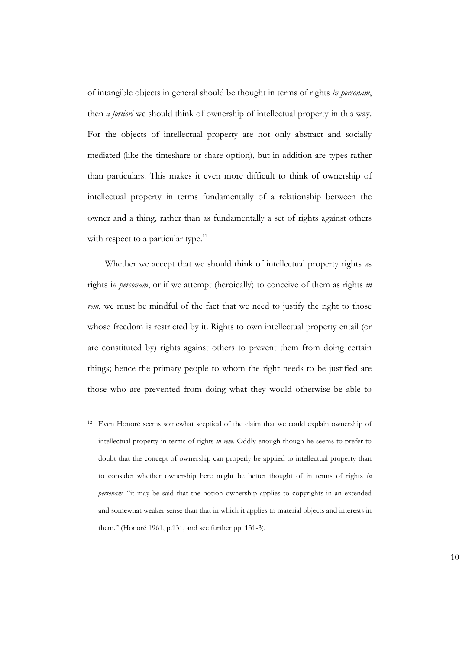of intangible objects in general should be thought in terms of rights *in personam*, then *a fortiori* we should think of ownership of intellectual property in this way. For the objects of intellectual property are not only abstract and socially mediated (like the timeshare or share option), but in addition are types rather than particulars. This makes it even more difficult to think of ownership of intellectual property in terms fundamentally of a relationship between the owner and a thing, rather than as fundamentally a set of rights against others with respect to a particular type.<sup>12</sup>

Whether we accept that we should think of intellectual property rights as rights i*n personam*, or if we attempt (heroically) to conceive of them as rights *in rem*, we must be mindful of the fact that we need to justify the right to those whose freedom is restricted by it. Rights to own intellectual property entail (or are constituted by) rights against others to prevent them from doing certain things; hence the primary people to whom the right needs to be justified are those who are prevented from doing what they would otherwise be able to

<sup>12</sup> Even Honoré seems somewhat sceptical of the claim that we could explain ownership of intellectual property in terms of rights *in rem*. Oddly enough though he seems to prefer to doubt that the concept of ownership can properly be applied to intellectual property than to consider whether ownership here might be better thought of in terms of rights *in personam*: "it may be said that the notion ownership applies to copyrights in an extended and somewhat weaker sense than that in which it applies to material objects and interests in them." (Honoré 1961, p.131, and see further pp. 131-3).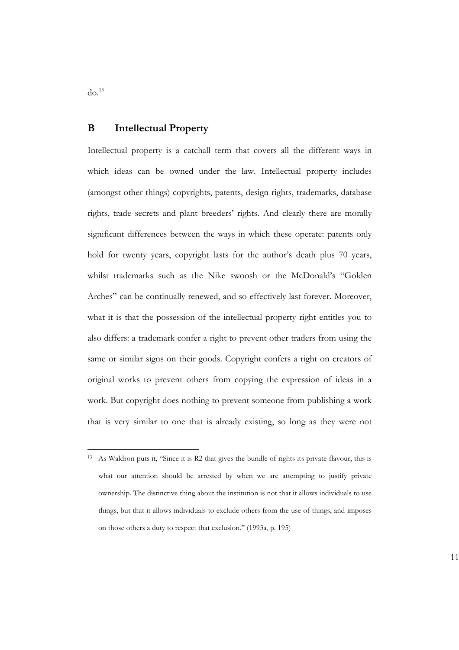$do.<sup>13</sup>$ 

#### **B Intellectual Property**

Intellectual property is a catchall term that covers all the different ways in which ideas can be owned under the law. Intellectual property includes (amongst other things) copyrights, patents, design rights, trademarks, database rights, trade secrets and plant breeders' rights. And clearly there are morally significant differences between the ways in which these operate: patents only hold for twenty years, copyright lasts for the author's death plus 70 years, whilst trademarks such as the Nike swoosh or the McDonald's "Golden Arches" can be continually renewed, and so effectively last forever. Moreover, what it is that the possession of the intellectual property right entitles you to also differs: a trademark confer a right to prevent other traders from using the same or similar signs on their goods. Copyright confers a right on creators of original works to prevent others from copying the expression of ideas in a work. But copyright does nothing to prevent someone from publishing a work that is very similar to one that is already existing, so long as they were not

<sup>&</sup>lt;sup>13</sup> As Waldron puts it, "Since it is R2 that gives the bundle of rights its private flavour, this is what our attention should be arrested by when we are attempting to justify private ownership. The distinctive thing about the institution is not that it allows individuals to use things, but that it allows individuals to exclude others from the use of things, and imposes on those others a duty to respect that exclusion." (1993a, p. 195)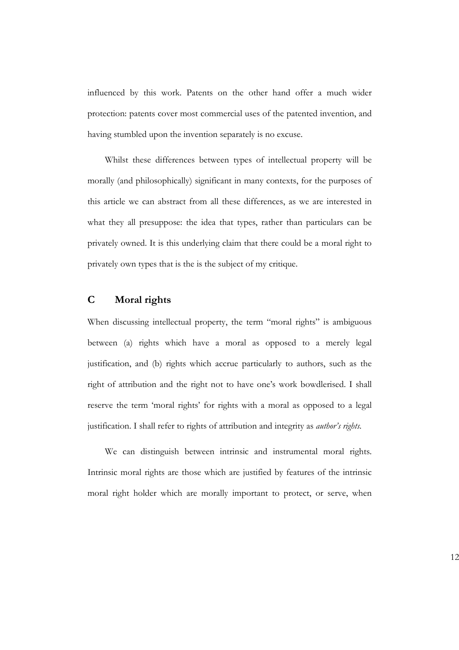influenced by this work. Patents on the other hand offer a much wider protection: patents cover most commercial uses of the patented invention, and having stumbled upon the invention separately is no excuse.

Whilst these differences between types of intellectual property will be morally (and philosophically) significant in many contexts, for the purposes of this article we can abstract from all these differences, as we are interested in what they all presuppose: the idea that types, rather than particulars can be privately owned. It is this underlying claim that there could be a moral right to privately own types that is the is the subject of my critique.

### **C Moral rights**

When discussing intellectual property, the term "moral rights" is ambiguous between (a) rights which have a moral as opposed to a merely legal justification, and (b) rights which accrue particularly to authors, such as the right of attribution and the right not to have one's work bowdlerised. I shall reserve the term 'moral rights' for rights with a moral as opposed to a legal justification. I shall refer to rights of attribution and integrity as *author's rights.*

We can distinguish between intrinsic and instrumental moral rights. Intrinsic moral rights are those which are justified by features of the intrinsic moral right holder which are morally important to protect, or serve, when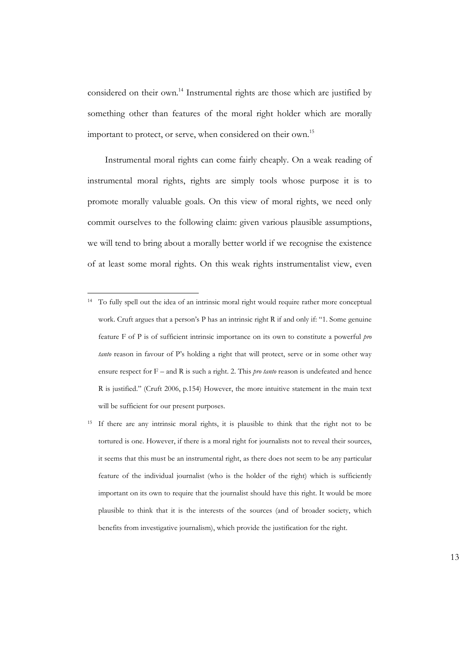considered on their own.<sup>14</sup> Instrumental rights are those which are justified by something other than features of the moral right holder which are morally important to protect, or serve, when considered on their own.<sup>15</sup>

Instrumental moral rights can come fairly cheaply. On a weak reading of instrumental moral rights, rights are simply tools whose purpose it is to promote morally valuable goals. On this view of moral rights, we need only commit ourselves to the following claim: given various plausible assumptions, we will tend to bring about a morally better world if we recognise the existence of at least some moral rights. On this weak rights instrumentalist view, even

<sup>14</sup> To fully spell out the idea of an intrinsic moral right would require rather more conceptual work. Cruft argues that a person's P has an intrinsic right R if and only if: "1. Some genuine feature F of P is of sufficient intrinsic importance on its own to constitute a powerful *pro tanto* reason in favour of P's holding a right that will protect, serve or in some other way ensure respect for  $F -$  and  $R$  is such a right. 2. This *pro tanto* reason is undefeated and hence R is justified." (Cruft 2006, p.154) However, the more intuitive statement in the main text will be sufficient for our present purposes.

<sup>&</sup>lt;sup>15</sup> If there are any intrinsic moral rights, it is plausible to think that the right not to be tortured is one. However, if there is a moral right for journalists not to reveal their sources, it seems that this must be an instrumental right, as there does not seem to be any particular feature of the individual journalist (who is the holder of the right) which is sufficiently important on its own to require that the journalist should have this right. It would be more plausible to think that it is the interests of the sources (and of broader society, which benefits from investigative journalism), which provide the justification for the right.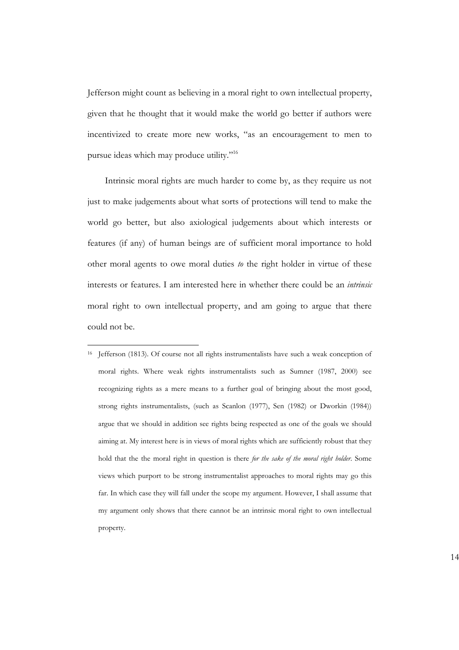Jefferson might count as believing in a moral right to own intellectual property, given that he thought that it would make the world go better if authors were incentivized to create more new works, "as an encouragement to men to pursue ideas which may produce utility."<sup>16</sup>

Intrinsic moral rights are much harder to come by, as they require us not just to make judgements about what sorts of protections will tend to make the world go better, but also axiological judgements about which interests or features (if any) of human beings are of sufficient moral importance to hold other moral agents to owe moral duties *to* the right holder in virtue of these interests or features. I am interested here in whether there could be an *intrinsic* moral right to own intellectual property, and am going to argue that there could not be.

<sup>16</sup> Jefferson (1813). Of course not all rights instrumentalists have such a weak conception of moral rights. Where weak rights instrumentalists such as Sumner (1987, 2000) see recognizing rights as a mere means to a further goal of bringing about the most good, strong rights instrumentalists, (such as Scanlon (1977), Sen (1982) or Dworkin (1984)) argue that we should in addition see rights being respected as one of the goals we should aiming at. My interest here is in views of moral rights which are sufficiently robust that they hold that the the moral right in question is there *for the sake of the moral right holder*. Some views which purport to be strong instrumentalist approaches to moral rights may go this far. In which case they will fall under the scope my argument. However, I shall assume that my argument only shows that there cannot be an intrinsic moral right to own intellectual property.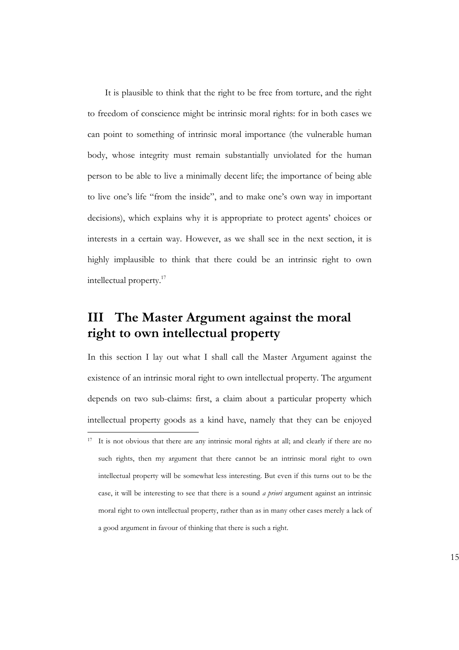It is plausible to think that the right to be free from torture, and the right to freedom of conscience might be intrinsic moral rights: for in both cases we can point to something of intrinsic moral importance (the vulnerable human body, whose integrity must remain substantially unviolated for the human person to be able to live a minimally decent life; the importance of being able to live one's life "from the inside", and to make one's own way in important decisions), which explains why it is appropriate to protect agents' choices or interests in a certain way. However, as we shall see in the next section, it is highly implausible to think that there could be an intrinsic right to own intellectual property.<sup>17</sup>

## **III The Master Argument against the moral right to own intellectual property**

In this section I lay out what I shall call the Master Argument against the existence of an intrinsic moral right to own intellectual property. The argument depends on two sub-claims: first, a claim about a particular property which intellectual property goods as a kind have, namely that they can be enjoyed

<sup>&</sup>lt;sup>17</sup> It is not obvious that there are any intrinsic moral rights at all; and clearly if there are no such rights, then my argument that there cannot be an intrinsic moral right to own intellectual property will be somewhat less interesting. But even if this turns out to be the case, it will be interesting to see that there is a sound *a priori* argument against an intrinsic moral right to own intellectual property, rather than as in many other cases merely a lack of a good argument in favour of thinking that there is such a right.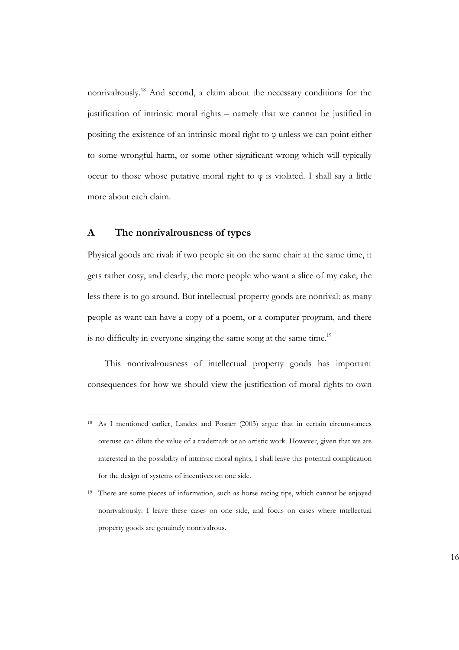nonrivalrously.<sup>18</sup> And second, a claim about the necessary conditions for the justification of intrinsic moral rights – namely that we cannot be justified in positing the existence of an intrinsic moral right to φ unless we can point either to some wrongful harm, or some other significant wrong which will typically occur to those whose putative moral right to  $\varphi$  is violated. I shall say a little more about each claim.

#### **A The nonrivalrousness of types**

Physical goods are rival: if two people sit on the same chair at the same time, it gets rather cosy, and clearly, the more people who want a slice of my cake, the less there is to go around. But intellectual property goods are nonrival: as many people as want can have a copy of a poem, or a computer program, and there is no difficulty in everyone singing the same song at the same time.<sup>19</sup>

This nonrivalrousness of intellectual property goods has important consequences for how we should view the justification of moral rights to own

<sup>18</sup> As I mentioned earlier, Landes and Posner (2003) argue that in certain circumstances overuse can dilute the value of a trademark or an artistic work. However, given that we are interested in the possibility of intrinsic moral rights, I shall leave this potential complication for the design of systems of incentives on one side.

<sup>&</sup>lt;sup>19</sup> There are some pieces of information, such as horse racing tips, which cannot be enjoyed nonrivalrously. I leave these cases on one side, and focus on cases where intellectual property goods are genuinely nonrivalrous.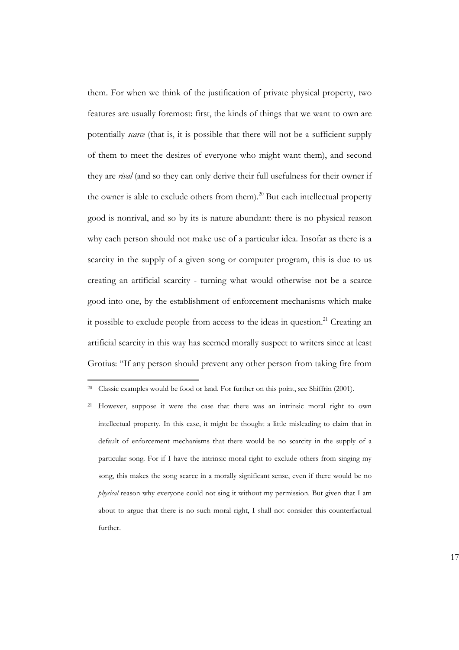them. For when we think of the justification of private physical property, two features are usually foremost: first, the kinds of things that we want to own are potentially *scarce* (that is, it is possible that there will not be a sufficient supply of them to meet the desires of everyone who might want them), and second they are *rival* (and so they can only derive their full usefulness for their owner if the owner is able to exclude others from them).<sup>20</sup> But each intellectual property good is nonrival, and so by its is nature abundant: there is no physical reason why each person should not make use of a particular idea. Insofar as there is a scarcity in the supply of a given song or computer program, this is due to us creating an artificial scarcity - turning what would otherwise not be a scarce good into one, by the establishment of enforcement mechanisms which make it possible to exclude people from access to the ideas in question.<sup>21</sup> Creating an artificial scarcity in this way has seemed morally suspect to writers since at least Grotius: "If any person should prevent any other person from taking fire from

<sup>20</sup> Classic examples would be food or land. For further on this point, see Shiffrin (2001).

<sup>&</sup>lt;sup>21</sup> However, suppose it were the case that there was an intrinsic moral right to own intellectual property. In this case, it might be thought a little misleading to claim that in default of enforcement mechanisms that there would be no scarcity in the supply of a particular song. For if I have the intrinsic moral right to exclude others from singing my song, this makes the song scarce in a morally significant sense, even if there would be no *physical* reason why everyone could not sing it without my permission. But given that I am about to argue that there is no such moral right, I shall not consider this counterfactual further.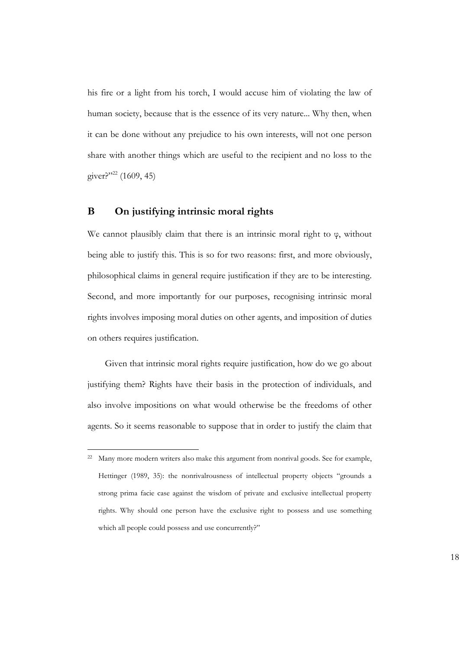his fire or a light from his torch, I would accuse him of violating the law of human society, because that is the essence of its very nature... Why then, when it can be done without any prejudice to his own interests, will not one person share with another things which are useful to the recipient and no loss to the giver?"<sup>22</sup> (1609, 45)

#### **B On justifying intrinsic moral rights**

We cannot plausibly claim that there is an intrinsic moral right to  $\varphi$ , without being able to justify this. This is so for two reasons: first, and more obviously, philosophical claims in general require justification if they are to be interesting. Second, and more importantly for our purposes, recognising intrinsic moral rights involves imposing moral duties on other agents, and imposition of duties on others requires justification.

Given that intrinsic moral rights require justification, how do we go about justifying them? Rights have their basis in the protection of individuals, and also involve impositions on what would otherwise be the freedoms of other agents. So it seems reasonable to suppose that in order to justify the claim that

<sup>&</sup>lt;sup>22</sup> Many more modern writers also make this argument from nonrival goods. See for example, Hettinger (1989, 35): the nonrivalrousness of intellectual property objects "grounds a strong prima facie case against the wisdom of private and exclusive intellectual property rights. Why should one person have the exclusive right to possess and use something which all people could possess and use concurrently?"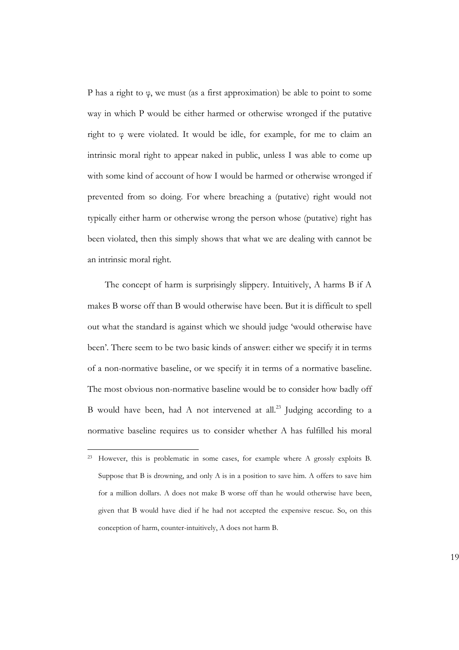P has a right to φ, we must (as a first approximation) be able to point to some way in which P would be either harmed or otherwise wronged if the putative right to φ were violated. It would be idle, for example, for me to claim an intrinsic moral right to appear naked in public, unless I was able to come up with some kind of account of how I would be harmed or otherwise wronged if prevented from so doing. For where breaching a (putative) right would not typically either harm or otherwise wrong the person whose (putative) right has been violated, then this simply shows that what we are dealing with cannot be an intrinsic moral right.

The concept of harm is surprisingly slippery. Intuitively, A harms B if A makes B worse off than B would otherwise have been. But it is difficult to spell out what the standard is against which we should judge 'would otherwise have been'. There seem to be two basic kinds of answer: either we specify it in terms of a non-normative baseline, or we specify it in terms of a normative baseline. The most obvious non-normative baseline would be to consider how badly off B would have been, had A not intervened at all.<sup>23</sup> Judging according to a normative baseline requires us to consider whether A has fulfilled his moral

<sup>23</sup> However, this is problematic in some cases, for example where A grossly exploits B. Suppose that B is drowning, and only A is in a position to save him. A offers to save him for a million dollars. A does not make B worse off than he would otherwise have been, given that B would have died if he had not accepted the expensive rescue. So, on this conception of harm, counter-intuitively, A does not harm B.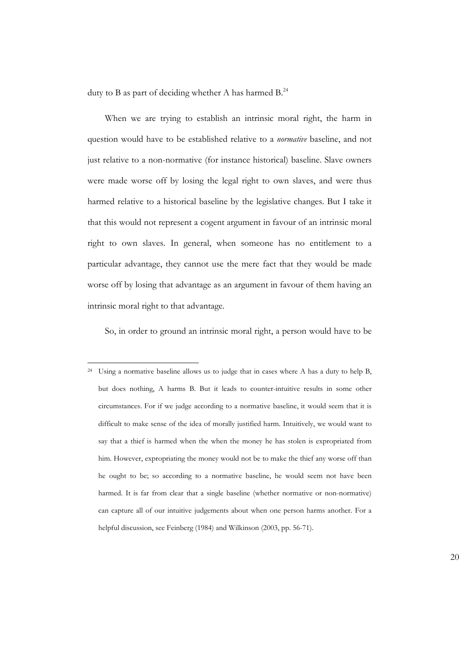duty to B as part of deciding whether A has harmed  $B^{24}$ 

When we are trying to establish an intrinsic moral right, the harm in question would have to be established relative to a *normative* baseline, and not just relative to a non-normative (for instance historical) baseline. Slave owners were made worse off by losing the legal right to own slaves, and were thus harmed relative to a historical baseline by the legislative changes. But I take it that this would not represent a cogent argument in favour of an intrinsic moral right to own slaves. In general, when someone has no entitlement to a particular advantage, they cannot use the mere fact that they would be made worse off by losing that advantage as an argument in favour of them having an intrinsic moral right to that advantage.

So, in order to ground an intrinsic moral right, a person would have to be

<sup>&</sup>lt;sup>24</sup> Using a normative baseline allows us to judge that in cases where A has a duty to help B, but does nothing, A harms B. But it leads to counter-intuitive results in some other circumstances. For if we judge according to a normative baseline, it would seem that it is difficult to make sense of the idea of morally justified harm. Intuitively, we would want to say that a thief is harmed when the when the money he has stolen is expropriated from him. However, expropriating the money would not be to make the thief any worse off than he ought to be; so according to a normative baseline, he would seem not have been harmed. It is far from clear that a single baseline (whether normative or non-normative) can capture all of our intuitive judgements about when one person harms another. For a helpful discussion, see Feinberg (1984) and Wilkinson (2003, pp. 56-71).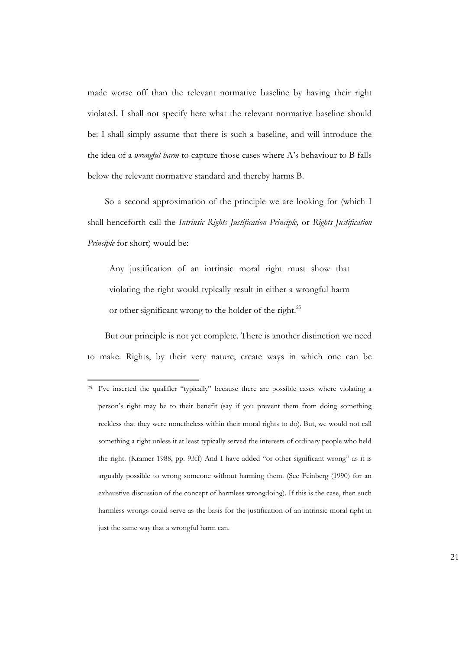made worse off than the relevant normative baseline by having their right violated. I shall not specify here what the relevant normative baseline should be: I shall simply assume that there is such a baseline, and will introduce the the idea of a *wrongful harm* to capture those cases where A's behaviour to B falls below the relevant normative standard and thereby harms B.

So a second approximation of the principle we are looking for (which I shall henceforth call the *Intrinsic Rights Justification Principle,* or *Rights Justification Principle* for short) would be:

Any justification of an intrinsic moral right must show that violating the right would typically result in either a wrongful harm or other significant wrong to the holder of the right.<sup>25</sup>

But our principle is not yet complete. There is another distinction we need to make. Rights, by their very nature, create ways in which one can be

21

<sup>&</sup>lt;sup>25</sup> I've inserted the qualifier "typically" because there are possible cases where violating a person's right may be to their benefit (say if you prevent them from doing something reckless that they were nonetheless within their moral rights to do). But, we would not call something a right unless it at least typically served the interests of ordinary people who held the right. (Kramer 1988, pp. 93ff) And I have added "or other significant wrong" as it is arguably possible to wrong someone without harming them. (See Feinberg (1990) for an exhaustive discussion of the concept of harmless wrongdoing). If this is the case, then such harmless wrongs could serve as the basis for the justification of an intrinsic moral right in just the same way that a wrongful harm can.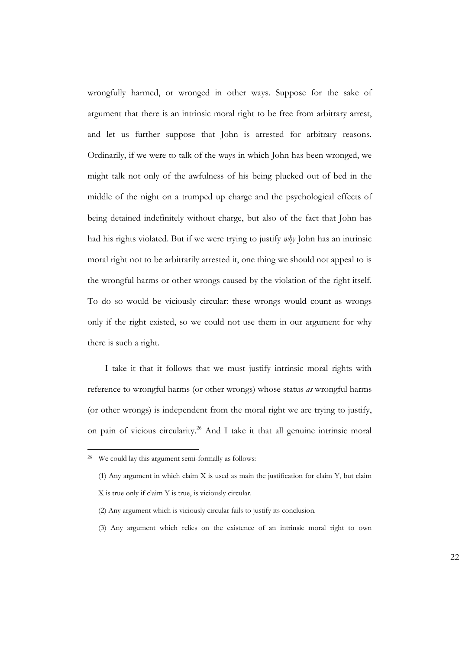wrongfully harmed, or wronged in other ways. Suppose for the sake of argument that there is an intrinsic moral right to be free from arbitrary arrest, and let us further suppose that John is arrested for arbitrary reasons. Ordinarily, if we were to talk of the ways in which John has been wronged, we might talk not only of the awfulness of his being plucked out of bed in the middle of the night on a trumped up charge and the psychological effects of being detained indefinitely without charge, but also of the fact that John has had his rights violated. But if we were trying to justify *why* John has an intrinsic moral right not to be arbitrarily arrested it, one thing we should not appeal to is the wrongful harms or other wrongs caused by the violation of the right itself. To do so would be viciously circular: these wrongs would count as wrongs only if the right existed, so we could not use them in our argument for why there is such a right.

I take it that it follows that we must justify intrinsic moral rights with reference to wrongful harms (or other wrongs) whose status *as* wrongful harms (or other wrongs) is independent from the moral right we are trying to justify, on pain of vicious circularity.<sup>26</sup> And I take it that all genuine intrinsic moral

- (2) Any argument which is viciously circular fails to justify its conclusion.
- (3) Any argument which relies on the existence of an intrinsic moral right to own

<sup>26</sup> We could lay this argument semi-formally as follows:

<sup>(1)</sup> Any argument in which claim X is used as main the justification for claim Y, but claim X is true only if claim Y is true, is viciously circular.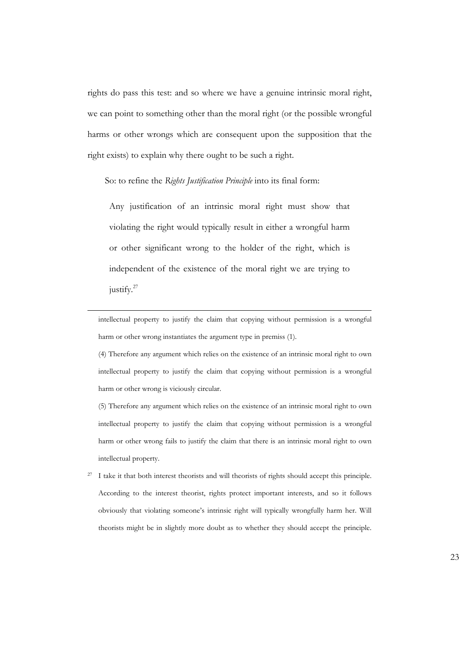rights do pass this test: and so where we have a genuine intrinsic moral right, we can point to something other than the moral right (or the possible wrongful harms or other wrongs which are consequent upon the supposition that the right exists) to explain why there ought to be such a right.

So: to refine the *Rights Justification Principle* into its final form:

Any justification of an intrinsic moral right must show that violating the right would typically result in either a wrongful harm or other significant wrong to the holder of the right, which is independent of the existence of the moral right we are trying to justify.<sup>27</sup>

intellectual property to justify the claim that copying without permission is a wrongful harm or other wrong instantiates the argument type in premiss (1).

(4) Therefore any argument which relies on the existence of an intrinsic moral right to own intellectual property to justify the claim that copying without permission is a wrongful harm or other wrong is viciously circular.

(5) Therefore any argument which relies on the existence of an intrinsic moral right to own intellectual property to justify the claim that copying without permission is a wrongful harm or other wrong fails to justify the claim that there is an intrinsic moral right to own intellectual property.

<sup>27</sup> I take it that both interest theorists and will theorists of rights should accept this principle. According to the interest theorist, rights protect important interests, and so it follows obviously that violating someone's intrinsic right will typically wrongfully harm her. Will theorists might be in slightly more doubt as to whether they should accept the principle.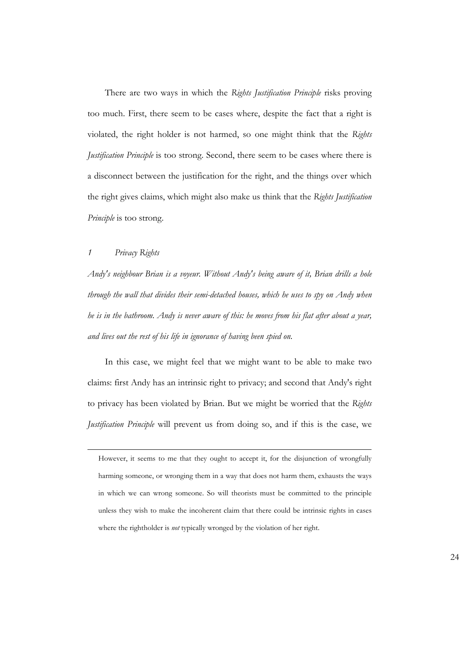There are two ways in which the *Rights Justification Principle* risks proving too much. First, there seem to be cases where, despite the fact that a right is violated, the right holder is not harmed, so one might think that the *Rights Justification Principle* is too strong. Second, there seem to be cases where there is a disconnect between the justification for the right, and the things over which the right gives claims, which might also make us think that the *Rights Justification Principle* is too strong.

#### *1 Privacy Rights*

*Andy's neighbour Brian is a voyeur. Without Andy's being aware of it, Brian drills a hole through the wall that divides their semi-detached houses, which he uses to spy on Andy when he is in the bathroom. Andy is never aware of this: he moves from his flat after about a year, and lives out the rest of his life in ignorance of having been spied on.*

In this case, we might feel that we might want to be able to make two claims: first Andy has an intrinsic right to privacy; and second that Andy's right to privacy has been violated by Brian. But we might be worried that the *Rights Justification Principle* will prevent us from doing so, and if this is the case, we

However, it seems to me that they ought to accept it, for the disjunction of wrongfully harming someone, or wronging them in a way that does not harm them, exhausts the ways in which we can wrong someone. So will theorists must be committed to the principle unless they wish to make the incoherent claim that there could be intrinsic rights in cases where the rightholder is *not* typically wronged by the violation of her right.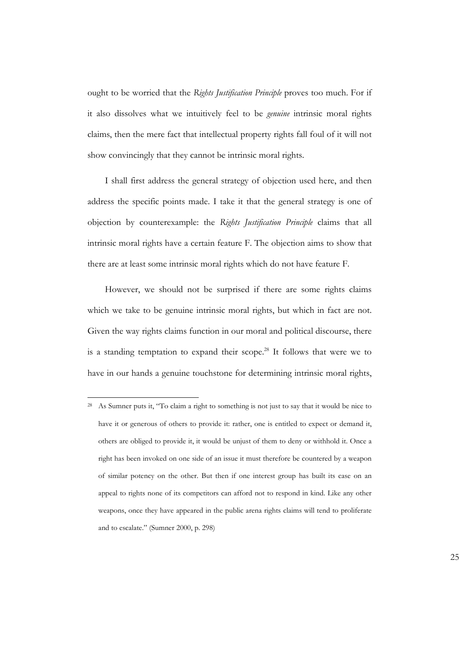ought to be worried that the *Rights Justification Principle* proves too much. For if it also dissolves what we intuitively feel to be *genuine* intrinsic moral rights claims, then the mere fact that intellectual property rights fall foul of it will not show convincingly that they cannot be intrinsic moral rights.

I shall first address the general strategy of objection used here, and then address the specific points made. I take it that the general strategy is one of objection by counterexample: the *Rights Justification Principle* claims that all intrinsic moral rights have a certain feature F. The objection aims to show that there are at least some intrinsic moral rights which do not have feature F.

However, we should not be surprised if there are some rights claims which we take to be genuine intrinsic moral rights, but which in fact are not. Given the way rights claims function in our moral and political discourse, there is a standing temptation to expand their scope.<sup>28</sup> It follows that were we to have in our hands a genuine touchstone for determining intrinsic moral rights,

<sup>28</sup> As Sumner puts it, "To claim a right to something is not just to say that it would be nice to have it or generous of others to provide it: rather, one is entitled to expect or demand it, others are obliged to provide it, it would be unjust of them to deny or withhold it. Once a right has been invoked on one side of an issue it must therefore be countered by a weapon of similar potency on the other. But then if one interest group has built its case on an appeal to rights none of its competitors can afford not to respond in kind. Like any other weapons, once they have appeared in the public arena rights claims will tend to proliferate and to escalate." (Sumner 2000, p. 298)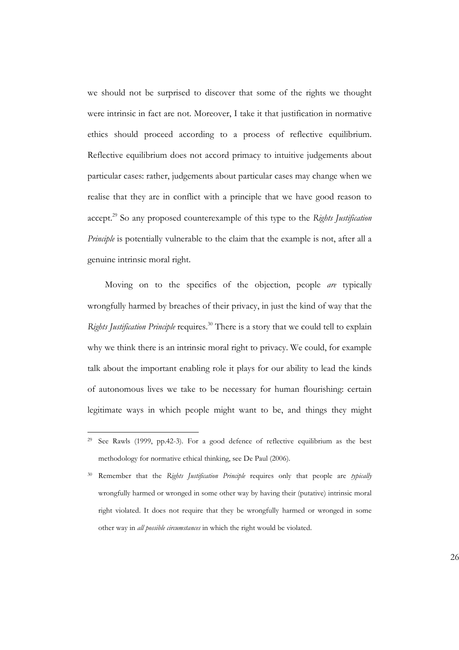we should not be surprised to discover that some of the rights we thought were intrinsic in fact are not. Moreover, I take it that justification in normative ethics should proceed according to a process of reflective equilibrium. Reflective equilibrium does not accord primacy to intuitive judgements about particular cases: rather, judgements about particular cases may change when we realise that they are in conflict with a principle that we have good reason to accept.<sup>29</sup> So any proposed counterexample of this type to the *Rights Justification Principle* is potentially vulnerable to the claim that the example is not, after all a genuine intrinsic moral right.

Moving on to the specifics of the objection, people *are* typically wrongfully harmed by breaches of their privacy, in just the kind of way that the *Rights Justification Principle* requires.<sup>30</sup> There is a story that we could tell to explain why we think there is an intrinsic moral right to privacy. We could, for example talk about the important enabling role it plays for our ability to lead the kinds of autonomous lives we take to be necessary for human flourishing: certain legitimate ways in which people might want to be, and things they might

<sup>29</sup> See Rawls (1999, pp.42-3)*.* For a good defence of reflective equilibrium as the best methodology for normative ethical thinking, see De Paul (2006).

<sup>30</sup> Remember that the *Rights Justification Principle* requires only that people are *typically* wrongfully harmed or wronged in some other way by having their (putative) intrinsic moral right violated. It does not require that they be wrongfully harmed or wronged in some other way in *all possible circumstances* in which the right would be violated.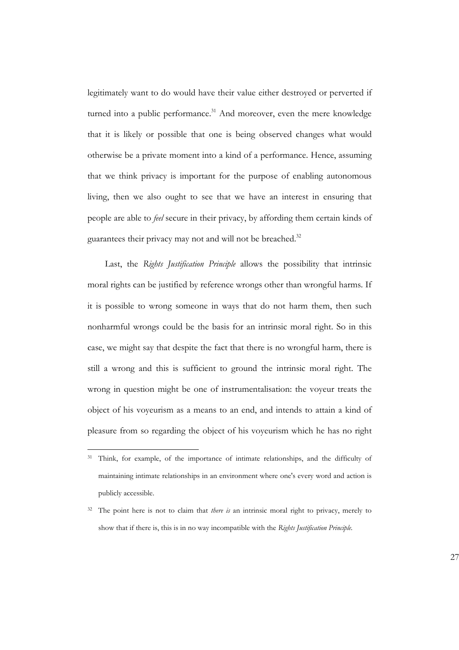legitimately want to do would have their value either destroyed or perverted if turned into a public performance.<sup>31</sup> And moreover, even the mere knowledge that it is likely or possible that one is being observed changes what would otherwise be a private moment into a kind of a performance. Hence, assuming that we think privacy is important for the purpose of enabling autonomous living, then we also ought to see that we have an interest in ensuring that people are able to *feel* secure in their privacy, by affording them certain kinds of guarantees their privacy may not and will not be breached.<sup>32</sup>

Last, the *Rights Justification Principle* allows the possibility that intrinsic moral rights can be justified by reference wrongs other than wrongful harms. If it is possible to wrong someone in ways that do not harm them, then such nonharmful wrongs could be the basis for an intrinsic moral right. So in this case, we might say that despite the fact that there is no wrongful harm, there is still a wrong and this is sufficient to ground the intrinsic moral right. The wrong in question might be one of instrumentalisation: the voyeur treats the object of his voyeurism as a means to an end, and intends to attain a kind of pleasure from so regarding the object of his voyeurism which he has no right

<sup>&</sup>lt;sup>31</sup> Think, for example, of the importance of intimate relationships, and the difficulty of maintaining intimate relationships in an environment where one's every word and action is publicly accessible.

<sup>&</sup>lt;sup>32</sup> The point here is not to claim that *there is* an intrinsic moral right to privacy, merely to show that if there is, this is in no way incompatible with the *Rights Justification Principle.*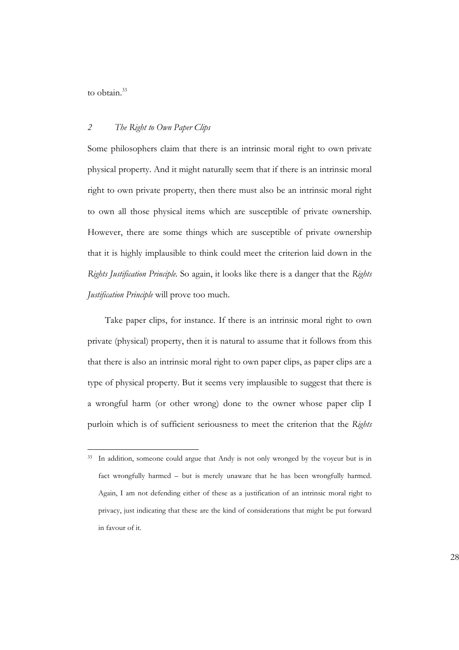to obtain.<sup>33</sup>

#### *2 The Right to Own Paper Clips*

Some philosophers claim that there is an intrinsic moral right to own private physical property. And it might naturally seem that if there is an intrinsic moral right to own private property, then there must also be an intrinsic moral right to own all those physical items which are susceptible of private ownership. However, there are some things which are susceptible of private ownership that it is highly implausible to think could meet the criterion laid down in the *Rights Justification Principle.* So again, it looks like there is a danger that the *Rights Justification Principle* will prove too much.

Take paper clips, for instance. If there is an intrinsic moral right to own private (physical) property, then it is natural to assume that it follows from this that there is also an intrinsic moral right to own paper clips, as paper clips are a type of physical property. But it seems very implausible to suggest that there is a wrongful harm (or other wrong) done to the owner whose paper clip I purloin which is of sufficient seriousness to meet the criterion that the *Rights*

<sup>33</sup> In addition, someone could argue that Andy is not only wronged by the voyeur but is in fact wrongfully harmed – but is merely unaware that he has been wrongfully harmed. Again, I am not defending either of these as a justification of an intrinsic moral right to privacy, just indicating that these are the kind of considerations that might be put forward in favour of it.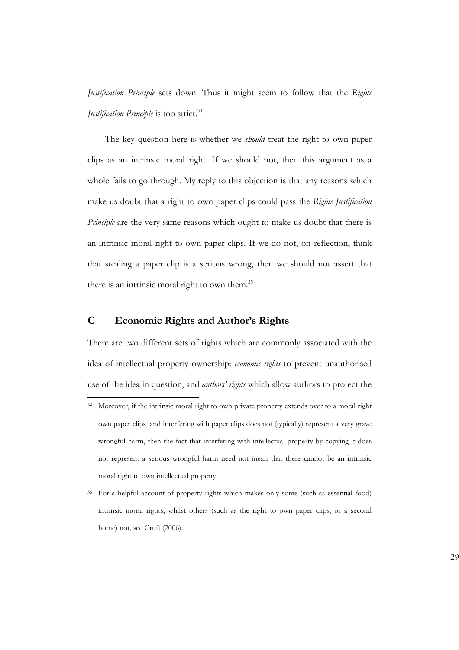*Justification Principle* sets down. Thus it might seem to follow that the *Rights Justification Principle* is too strict.<sup>34</sup>

The key question here is whether we *should* treat the right to own paper clips as an intrinsic moral right. If we should not, then this argument as a whole fails to go through. My reply to this objection is that any reasons which make us doubt that a right to own paper clips could pass the *Rights Justification Principle* are the very same reasons which ought to make us doubt that there is an intrinsic moral right to own paper clips. If we do not, on reflection, think that stealing a paper clip is a serious wrong, then we should not assert that there is an intrinsic moral right to own them.<sup>35</sup>

### **C Economic Rights and Author's Rights**

There are two different sets of rights which are commonly associated with the idea of intellectual property ownership: *economic rights* to prevent unauthorised use of the idea in question, and *authors' rights* which allow authors to protect the

<sup>&</sup>lt;sup>34</sup> Moreover, if the intrinsic moral right to own private property extends over to a moral right own paper clips, and interfering with paper clips does not (typically) represent a very grave wrongful harm, then the fact that interfering with intellectual property by copying it does not represent a serious wrongful harm need not mean that there cannot be an intrinsic moral right to own intellectual property.

<sup>&</sup>lt;sup>35</sup> For a helpful account of property rights which makes only some (such as essential food) intrinsic moral rights, whilst others (such as the right to own paper clips, or a second home) not, see Cruft (2006).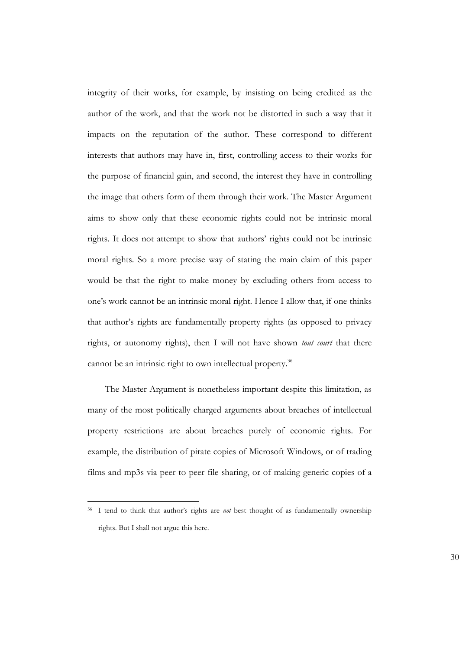integrity of their works, for example, by insisting on being credited as the author of the work, and that the work not be distorted in such a way that it impacts on the reputation of the author. These correspond to different interests that authors may have in, first, controlling access to their works for the purpose of financial gain, and second, the interest they have in controlling the image that others form of them through their work. The Master Argument aims to show only that these economic rights could not be intrinsic moral rights. It does not attempt to show that authors' rights could not be intrinsic moral rights. So a more precise way of stating the main claim of this paper would be that the right to make money by excluding others from access to one's work cannot be an intrinsic moral right. Hence I allow that, if one thinks that author's rights are fundamentally property rights (as opposed to privacy rights, or autonomy rights), then I will not have shown *tout court* that there cannot be an intrinsic right to own intellectual property.<sup>36</sup>

The Master Argument is nonetheless important despite this limitation, as many of the most politically charged arguments about breaches of intellectual property restrictions are about breaches purely of economic rights. For example, the distribution of pirate copies of Microsoft Windows, or of trading films and mp3s via peer to peer file sharing, or of making generic copies of a

<sup>36</sup> I tend to think that author's rights are *not* best thought of as fundamentally ownership rights. But I shall not argue this here.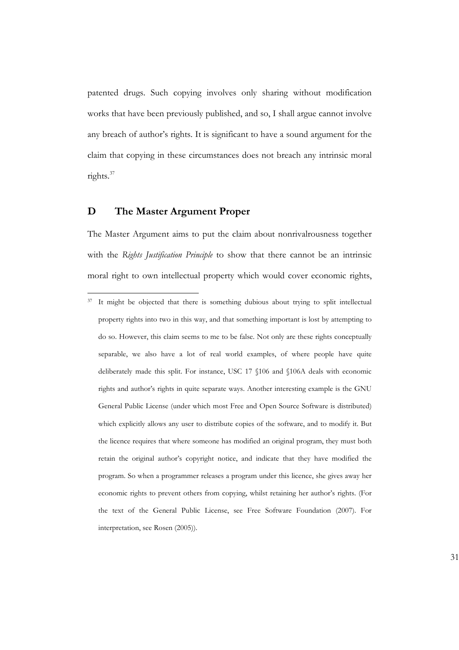patented drugs. Such copying involves only sharing without modification works that have been previously published, and so, I shall argue cannot involve any breach of author's rights. It is significant to have a sound argument for the claim that copying in these circumstances does not breach any intrinsic moral rights.<sup>37</sup>

#### **D The Master Argument Proper**

The Master Argument aims to put the claim about nonrivalrousness together with the *Rights Justification Principle* to show that there cannot be an intrinsic moral right to own intellectual property which would cover economic rights,

<sup>&</sup>lt;sup>37</sup> It might be objected that there is something dubious about trying to split intellectual property rights into two in this way, and that something important is lost by attempting to do so. However, this claim seems to me to be false. Not only are these rights conceptually separable, we also have a lot of real world examples, of where people have quite deliberately made this split. For instance, USC 17 §106 and §106A deals with economic rights and author's rights in quite separate ways. Another interesting example is the GNU General Public License (under which most Free and Open Source Software is distributed) which explicitly allows any user to distribute copies of the software, and to modify it. But the licence requires that where someone has modified an original program, they must both retain the original author's copyright notice, and indicate that they have modified the program. So when a programmer releases a program under this licence, she gives away her economic rights to prevent others from copying, whilst retaining her author's rights. (For the text of the General Public License, see Free Software Foundation (2007). For interpretation, see Rosen (2005)).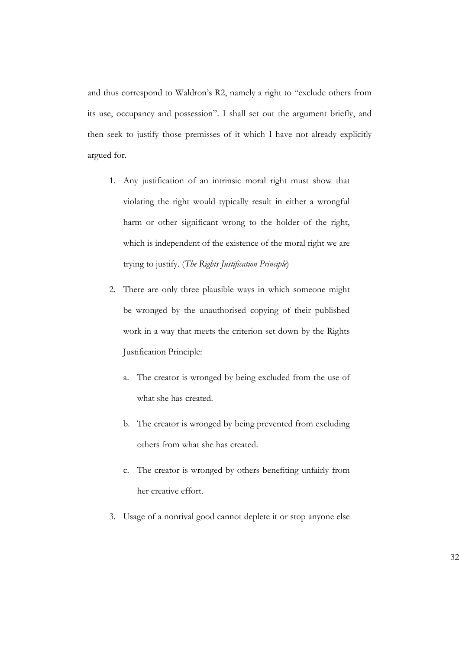and thus correspond to Waldron's R2, namely a right to "exclude others from its use, occupancy and possession". I shall set out the argument briefly, and then seek to justify those premisses of it which I have not already explicitly argued for.

- 1. Any justification of an intrinsic moral right must show that violating the right would typically result in either a wrongful harm or other significant wrong to the holder of the right, which is independent of the existence of the moral right we are trying to justify. (*The Rights Justification Principle*)
- 2. There are only three plausible ways in which someone might be wronged by the unauthorised copying of their published work in a way that meets the criterion set down by the Rights Justification Principle:
	- a. The creator is wronged by being excluded from the use of what she has created.
	- b. The creator is wronged by being prevented from excluding others from what she has created.
	- c. The creator is wronged by others benefiting unfairly from her creative effort.
- 3. Usage of a nonrival good cannot deplete it or stop anyone else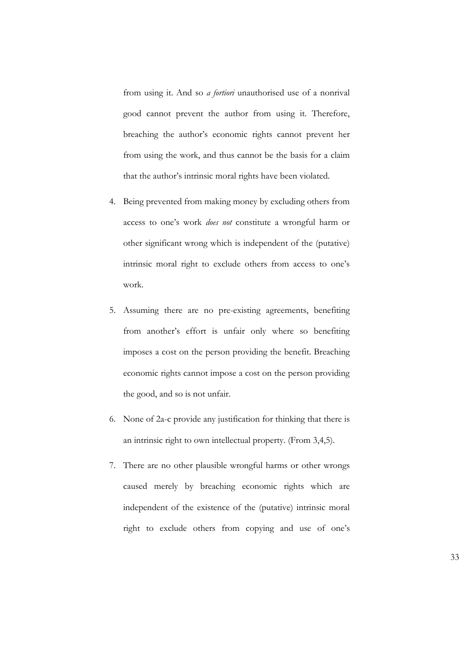from using it. And so *a fortiori* unauthorised use of a nonrival good cannot prevent the author from using it. Therefore, breaching the author's economic rights cannot prevent her from using the work, and thus cannot be the basis for a claim that the author's intrinsic moral rights have been violated.

- 4. Being prevented from making money by excluding others from access to one's work *does not* constitute a wrongful harm or other significant wrong which is independent of the (putative) intrinsic moral right to exclude others from access to one's work.
- 5. Assuming there are no pre-existing agreements, benefiting from another's effort is unfair only where so benefiting imposes a cost on the person providing the benefit. Breaching economic rights cannot impose a cost on the person providing the good, and so is not unfair.
- 6. None of 2a-c provide any justification for thinking that there is an intrinsic right to own intellectual property. (From 3,4,5).
- 7. There are no other plausible wrongful harms or other wrongs caused merely by breaching economic rights which are independent of the existence of the (putative) intrinsic moral right to exclude others from copying and use of one's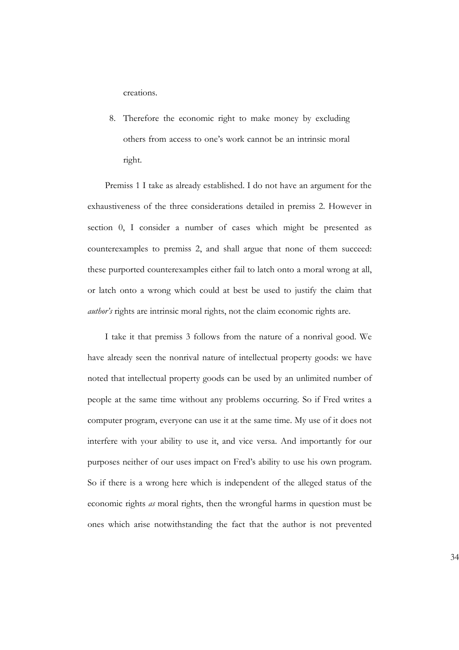creations.

8. Therefore the economic right to make money by excluding others from access to one's work cannot be an intrinsic moral right.

Premiss 1 I take as already established. I do not have an argument for the exhaustiveness of the three considerations detailed in premiss 2. However in section 0, I consider a number of cases which might be presented as counterexamples to premiss 2, and shall argue that none of them succeed: these purported counterexamples either fail to latch onto a moral wrong at all, or latch onto a wrong which could at best be used to justify the claim that *author's* rights are intrinsic moral rights, not the claim economic rights are.

I take it that premiss 3 follows from the nature of a nonrival good. We have already seen the nonrival nature of intellectual property goods: we have noted that intellectual property goods can be used by an unlimited number of people at the same time without any problems occurring. So if Fred writes a computer program, everyone can use it at the same time. My use of it does not interfere with your ability to use it, and vice versa. And importantly for our purposes neither of our uses impact on Fred's ability to use his own program. So if there is a wrong here which is independent of the alleged status of the economic rights *as* moral rights, then the wrongful harms in question must be ones which arise notwithstanding the fact that the author is not prevented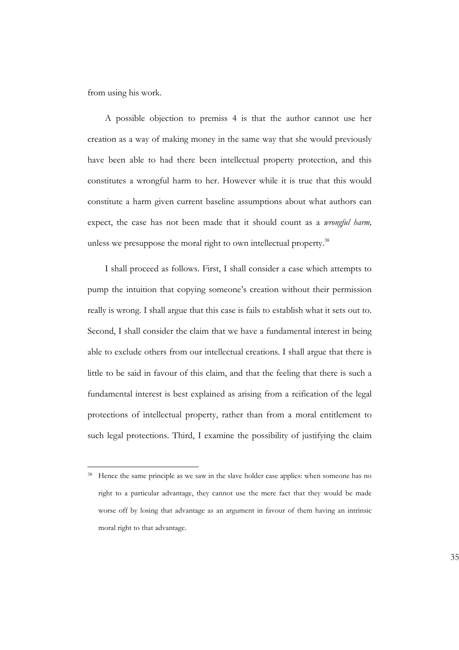from using his work*.*

A possible objection to premiss 4 is that the author cannot use her creation as a way of making money in the same way that she would previously have been able to had there been intellectual property protection, and this constitutes a wrongful harm to her. However while it is true that this would constitute a harm given current baseline assumptions about what authors can expect, the case has not been made that it should count as a *wrongful harm,* unless we presuppose the moral right to own intellectual property.<sup>38</sup>

I shall proceed as follows. First, I shall consider a case which attempts to pump the intuition that copying someone's creation without their permission really is wrong. I shall argue that this case is fails to establish what it sets out to. Second, I shall consider the claim that we have a fundamental interest in being able to exclude others from our intellectual creations. I shall argue that there is little to be said in favour of this claim, and that the feeling that there is such a fundamental interest is best explained as arising from a reification of the legal protections of intellectual property, rather than from a moral entitlement to such legal protections. Third, I examine the possibility of justifying the claim

<sup>&</sup>lt;sup>38</sup> Hence the same principle as we saw in the slave holder case applies: when someone has no right to a particular advantage, they cannot use the mere fact that they would be made worse off by losing that advantage as an argument in favour of them having an intrinsic moral right to that advantage.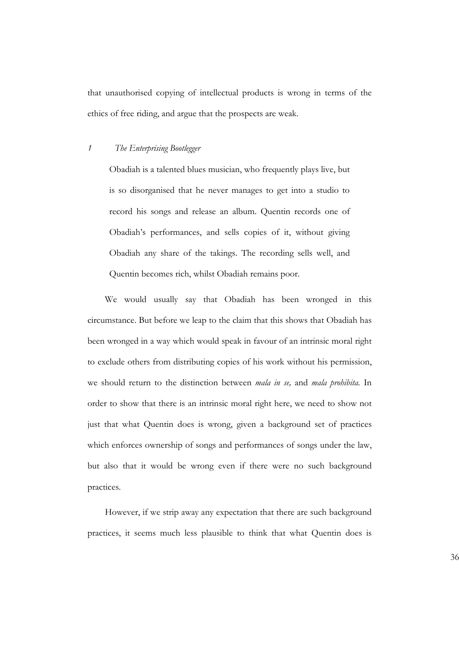that unauthorised copying of intellectual products is wrong in terms of the ethics of free riding, and argue that the prospects are weak.

#### *1 The Enterprising Bootlegger*

Obadiah is a talented blues musician, who frequently plays live, but is so disorganised that he never manages to get into a studio to record his songs and release an album. Quentin records one of Obadiah's performances, and sells copies of it, without giving Obadiah any share of the takings. The recording sells well, and Quentin becomes rich, whilst Obadiah remains poor.

We would usually say that Obadiah has been wronged in this circumstance. But before we leap to the claim that this shows that Obadiah has been wronged in a way which would speak in favour of an intrinsic moral right to exclude others from distributing copies of his work without his permission, we should return to the distinction between *mala in se,* and *mala prohibita.* In order to show that there is an intrinsic moral right here, we need to show not just that what Quentin does is wrong, given a background set of practices which enforces ownership of songs and performances of songs under the law, but also that it would be wrong even if there were no such background practices.

However, if we strip away any expectation that there are such background practices, it seems much less plausible to think that what Quentin does is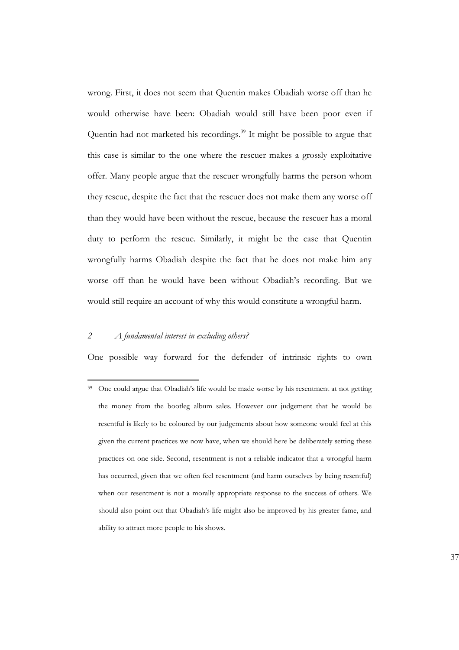wrong. First, it does not seem that Quentin makes Obadiah worse off than he would otherwise have been: Obadiah would still have been poor even if Quentin had not marketed his recordings.<sup>39</sup> It might be possible to argue that this case is similar to the one where the rescuer makes a grossly exploitative offer. Many people argue that the rescuer wrongfully harms the person whom they rescue, despite the fact that the rescuer does not make them any worse off than they would have been without the rescue, because the rescuer has a moral duty to perform the rescue. Similarly, it might be the case that Quentin wrongfully harms Obadiah despite the fact that he does not make him any worse off than he would have been without Obadiah's recording. But we would still require an account of why this would constitute a wrongful harm.

#### *2 A fundamental interest in excluding others?*

One possible way forward for the defender of intrinsic rights to own

37

<sup>39</sup> One could argue that Obadiah's life would be made worse by his resentment at not getting the money from the bootleg album sales. However our judgement that he would be resentful is likely to be coloured by our judgements about how someone would feel at this given the current practices we now have, when we should here be deliberately setting these practices on one side. Second, resentment is not a reliable indicator that a wrongful harm has occurred, given that we often feel resentment (and harm ourselves by being resentful) when our resentment is not a morally appropriate response to the success of others. We should also point out that Obadiah's life might also be improved by his greater fame, and ability to attract more people to his shows.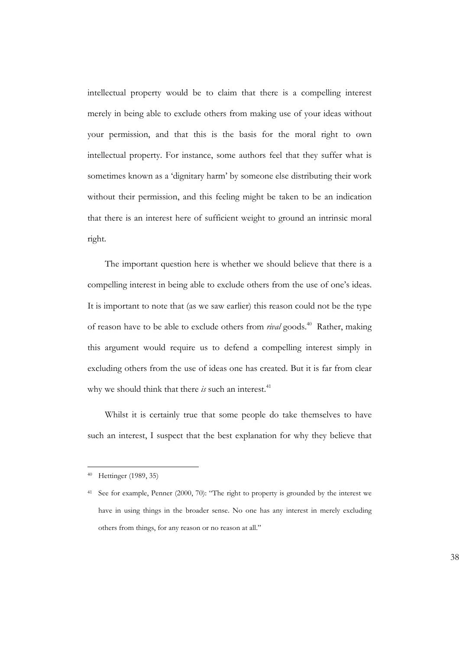intellectual property would be to claim that there is a compelling interest merely in being able to exclude others from making use of your ideas without your permission, and that this is the basis for the moral right to own intellectual property. For instance, some authors feel that they suffer what is sometimes known as a 'dignitary harm' by someone else distributing their work without their permission, and this feeling might be taken to be an indication that there is an interest here of sufficient weight to ground an intrinsic moral right.

The important question here is whether we should believe that there is a compelling interest in being able to exclude others from the use of one's ideas. It is important to note that (as we saw earlier) this reason could not be the type of reason have to be able to exclude others from *rival* goods.<sup>40</sup> Rather, making this argument would require us to defend a compelling interest simply in excluding others from the use of ideas one has created. But it is far from clear why we should think that there *is* such an interest.<sup>41</sup>

Whilst it is certainly true that some people do take themselves to have such an interest, I suspect that the best explanation for why they believe that

<sup>40</sup> Hettinger (1989, 35)

<sup>41</sup> See for example, Penner (2000, 70): "The right to property is grounded by the interest we have in using things in the broader sense. No one has any interest in merely excluding others from things, for any reason or no reason at all."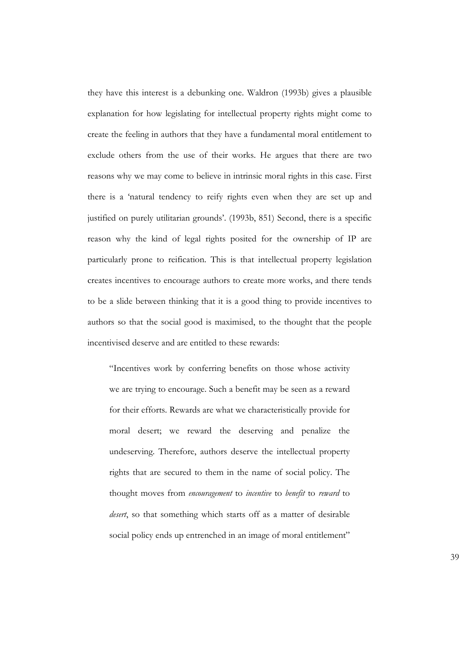they have this interest is a debunking one. Waldron (1993b) gives a plausible explanation for how legislating for intellectual property rights might come to create the feeling in authors that they have a fundamental moral entitlement to exclude others from the use of their works. He argues that there are two reasons why we may come to believe in intrinsic moral rights in this case. First there is a 'natural tendency to reify rights even when they are set up and justified on purely utilitarian grounds'. (1993b, 851) Second, there is a specific reason why the kind of legal rights posited for the ownership of IP are particularly prone to reification. This is that intellectual property legislation creates incentives to encourage authors to create more works, and there tends to be a slide between thinking that it is a good thing to provide incentives to authors so that the social good is maximised, to the thought that the people incentivised deserve and are entitled to these rewards:

"Incentives work by conferring benefits on those whose activity we are trying to encourage. Such a benefit may be seen as a reward for their efforts. Rewards are what we characteristically provide for moral desert; we reward the deserving and penalize the undeserving. Therefore, authors deserve the intellectual property rights that are secured to them in the name of social policy. The thought moves from *encouragement* to *incentive* to *benefit* to *reward* to *desert*, so that something which starts off as a matter of desirable social policy ends up entrenched in an image of moral entitlement"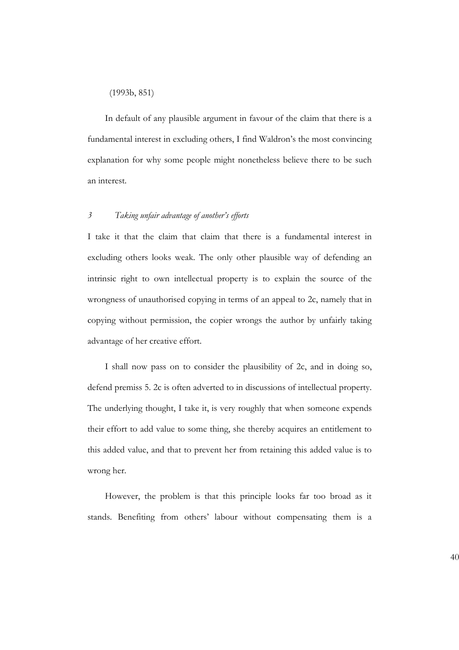#### (1993b, 851)

In default of any plausible argument in favour of the claim that there is a fundamental interest in excluding others, I find Waldron's the most convincing explanation for why some people might nonetheless believe there to be such an interest.

#### *3 Taking unfair advantage of another's efforts*

I take it that the claim that claim that there is a fundamental interest in excluding others looks weak. The only other plausible way of defending an intrinsic right to own intellectual property is to explain the source of the wrongness of unauthorised copying in terms of an appeal to 2c, namely that in copying without permission, the copier wrongs the author by unfairly taking advantage of her creative effort.

I shall now pass on to consider the plausibility of 2c, and in doing so, defend premiss 5. 2c is often adverted to in discussions of intellectual property. The underlying thought, I take it, is very roughly that when someone expends their effort to add value to some thing, she thereby acquires an entitlement to this added value, and that to prevent her from retaining this added value is to wrong her.

However, the problem is that this principle looks far too broad as it stands. Benefiting from others' labour without compensating them is a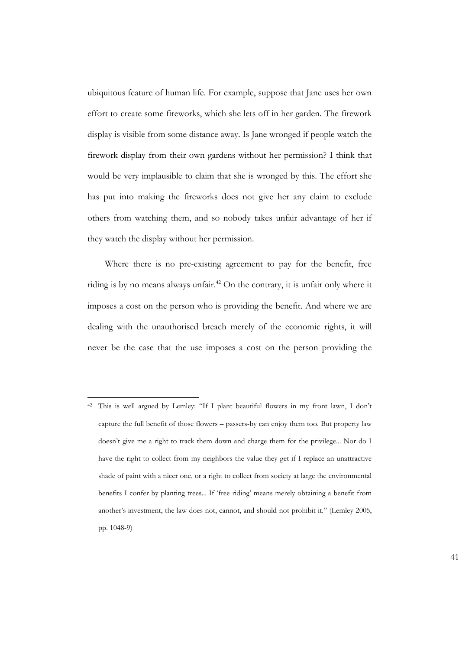ubiquitous feature of human life. For example, suppose that Jane uses her own effort to create some fireworks, which she lets off in her garden. The firework display is visible from some distance away. Is Jane wronged if people watch the firework display from their own gardens without her permission? I think that would be very implausible to claim that she is wronged by this. The effort she has put into making the fireworks does not give her any claim to exclude others from watching them, and so nobody takes unfair advantage of her if they watch the display without her permission.

Where there is no pre-existing agreement to pay for the benefit, free riding is by no means always unfair.<sup>42</sup> On the contrary, it is unfair only where it imposes a cost on the person who is providing the benefit. And where we are dealing with the unauthorised breach merely of the economic rights, it will never be the case that the use imposes a cost on the person providing the

<sup>42</sup> This is well argued by Lemley: "If I plant beautiful flowers in my front lawn, I don't capture the full benefit of those flowers – passers-by can enjoy them too. But property law doesn't give me a right to track them down and charge them for the privilege... Nor do I have the right to collect from my neighbors the value they get if I replace an unattractive shade of paint with a nicer one, or a right to collect from society at large the environmental benefits I confer by planting trees... If 'free riding' means merely obtaining a benefit from another's investment, the law does not, cannot, and should not prohibit it." (Lemley 2005, pp. 1048-9)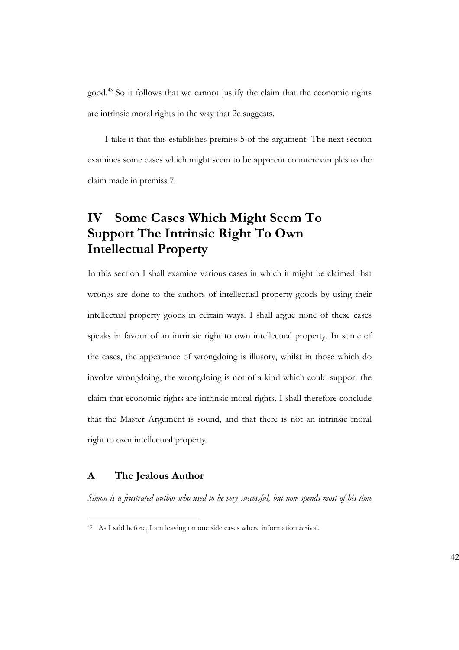good.<sup>43</sup> So it follows that we cannot justify the claim that the economic rights are intrinsic moral rights in the way that 2c suggests.

I take it that this establishes premiss 5 of the argument. The next section examines some cases which might seem to be apparent counterexamples to the claim made in premiss 7.

## **IV Some Cases Which Might Seem To Support The Intrinsic Right To Own Intellectual Property**

In this section I shall examine various cases in which it might be claimed that wrongs are done to the authors of intellectual property goods by using their intellectual property goods in certain ways. I shall argue none of these cases speaks in favour of an intrinsic right to own intellectual property. In some of the cases, the appearance of wrongdoing is illusory, whilst in those which do involve wrongdoing, the wrongdoing is not of a kind which could support the claim that economic rights are intrinsic moral rights. I shall therefore conclude that the Master Argument is sound, and that there is not an intrinsic moral right to own intellectual property.

#### **A The Jealous Author**

*Simon is a frustrated author who used to be very successful, but now spends most of his time*

<sup>43</sup> As I said before, I am leaving on one side cases where information *is* rival.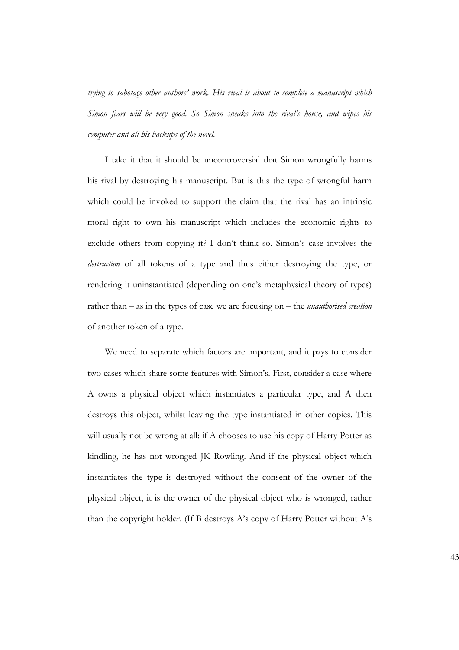*trying to sabotage other authors' work. His rival is about to complete a manuscript which Simon fears will be very good. So Simon sneaks into the rival's house, and wipes his computer and all his backups of the novel.*

I take it that it should be uncontroversial that Simon wrongfully harms his rival by destroying his manuscript. But is this the type of wrongful harm which could be invoked to support the claim that the rival has an intrinsic moral right to own his manuscript which includes the economic rights to exclude others from copying it? I don't think so. Simon's case involves the *destruction* of all tokens of a type and thus either destroying the type, or rendering it uninstantiated (depending on one's metaphysical theory of types) rather than – as in the types of case we are focusing on – the *unauthorised creation* of another token of a type.

We need to separate which factors are important, and it pays to consider two cases which share some features with Simon's. First, consider a case where A owns a physical object which instantiates a particular type, and A then destroys this object, whilst leaving the type instantiated in other copies. This will usually not be wrong at all: if A chooses to use his copy of Harry Potter as kindling, he has not wronged JK Rowling. And if the physical object which instantiates the type is destroyed without the consent of the owner of the physical object, it is the owner of the physical object who is wronged, rather than the copyright holder. (If B destroys A's copy of Harry Potter without A's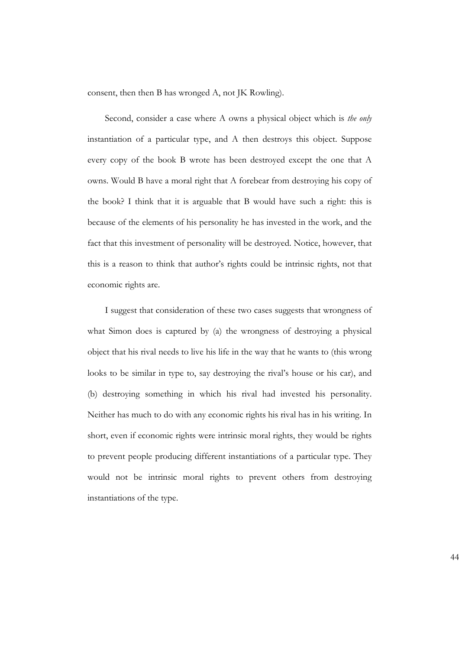consent, then then B has wronged A, not JK Rowling).

Second, consider a case where A owns a physical object which is *the only* instantiation of a particular type, and A then destroys this object. Suppose every copy of the book B wrote has been destroyed except the one that A owns. Would B have a moral right that A forebear from destroying his copy of the book? I think that it is arguable that B would have such a right: this is because of the elements of his personality he has invested in the work, and the fact that this investment of personality will be destroyed. Notice, however, that this is a reason to think that author's rights could be intrinsic rights, not that economic rights are.

I suggest that consideration of these two cases suggests that wrongness of what Simon does is captured by (a) the wrongness of destroying a physical object that his rival needs to live his life in the way that he wants to (this wrong looks to be similar in type to, say destroying the rival's house or his car), and (b) destroying something in which his rival had invested his personality. Neither has much to do with any economic rights his rival has in his writing. In short, even if economic rights were intrinsic moral rights, they would be rights to prevent people producing different instantiations of a particular type. They would not be intrinsic moral rights to prevent others from destroying instantiations of the type.

44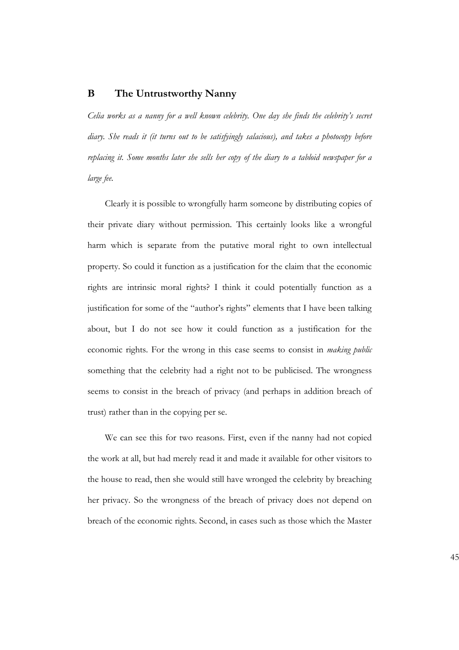#### **B The Untrustworthy Nanny**

*Celia works as a nanny for a well known celebrity. One day she finds the celebrity's secret diary. She reads it (it turns out to be satisfyingly salacious), and takes a photocopy before replacing it. Some months later she sells her copy of the diary to a tabloid newspaper for a large fee.*

Clearly it is possible to wrongfully harm someone by distributing copies of their private diary without permission. This certainly looks like a wrongful harm which is separate from the putative moral right to own intellectual property. So could it function as a justification for the claim that the economic rights are intrinsic moral rights? I think it could potentially function as a justification for some of the "author's rights" elements that I have been talking about, but I do not see how it could function as a justification for the economic rights. For the wrong in this case seems to consist in *making public* something that the celebrity had a right not to be publicised. The wrongness seems to consist in the breach of privacy (and perhaps in addition breach of trust) rather than in the copying per se.

We can see this for two reasons. First, even if the nanny had not copied the work at all, but had merely read it and made it available for other visitors to the house to read, then she would still have wronged the celebrity by breaching her privacy. So the wrongness of the breach of privacy does not depend on breach of the economic rights. Second, in cases such as those which the Master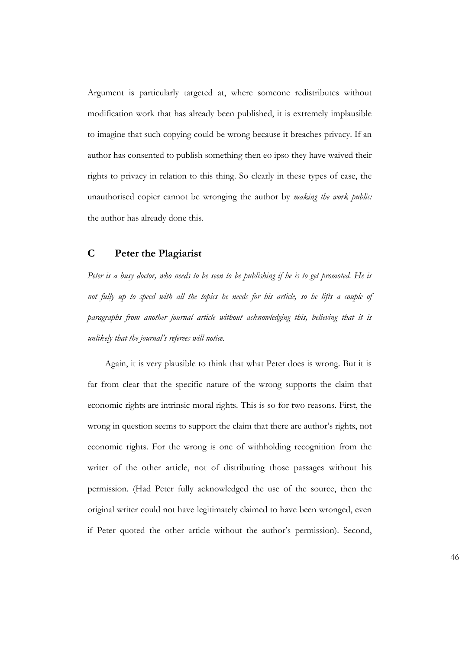Argument is particularly targeted at, where someone redistributes without modification work that has already been published, it is extremely implausible to imagine that such copying could be wrong because it breaches privacy. If an author has consented to publish something then eo ipso they have waived their rights to privacy in relation to this thing. So clearly in these types of case, the unauthorised copier cannot be wronging the author by *making the work public:* the author has already done this.

#### **C Peter the Plagiarist**

*Peter is a busy doctor, who needs to be seen to be publishing if he is to get promoted. He is not fully up to speed with all the topics he needs for his article, so he lifts a couple of paragraphs from another journal article without acknowledging this, believing that it is unlikely that the journal's referees will notice.*

Again, it is very plausible to think that what Peter does is wrong. But it is far from clear that the specific nature of the wrong supports the claim that economic rights are intrinsic moral rights. This is so for two reasons. First, the wrong in question seems to support the claim that there are author's rights, not economic rights. For the wrong is one of withholding recognition from the writer of the other article, not of distributing those passages without his permission. (Had Peter fully acknowledged the use of the source, then the original writer could not have legitimately claimed to have been wronged, even if Peter quoted the other article without the author's permission). Second,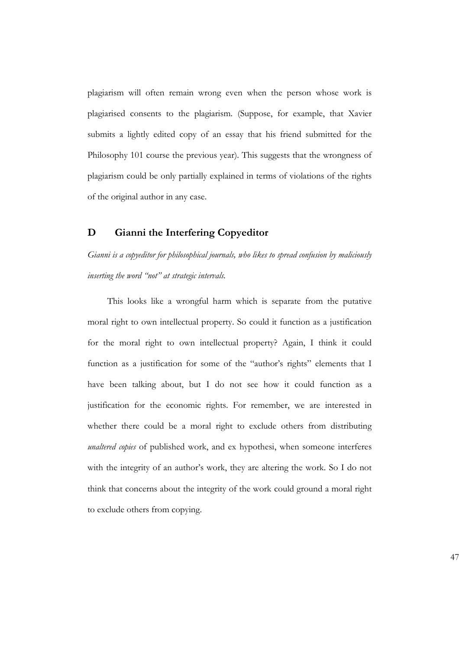plagiarism will often remain wrong even when the person whose work is plagiarised consents to the plagiarism. (Suppose, for example, that Xavier submits a lightly edited copy of an essay that his friend submitted for the Philosophy 101 course the previous year). This suggests that the wrongness of plagiarism could be only partially explained in terms of violations of the rights of the original author in any case.

#### **D Gianni the Interfering Copyeditor**

*Gianni is a copyeditor for philosophical journals, who likes to spread confusion by maliciously inserting the word "not" at strategic intervals.*

This looks like a wrongful harm which is separate from the putative moral right to own intellectual property. So could it function as a justification for the moral right to own intellectual property? Again, I think it could function as a justification for some of the "author's rights" elements that I have been talking about, but I do not see how it could function as a justification for the economic rights. For remember, we are interested in whether there could be a moral right to exclude others from distributing *unaltered copies* of published work, and ex hypothesi, when someone interferes with the integrity of an author's work, they are altering the work. So I do not think that concerns about the integrity of the work could ground a moral right to exclude others from copying.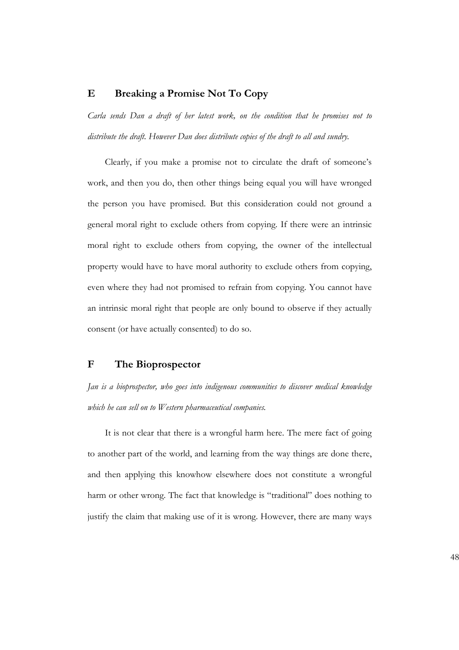#### **E Breaking a Promise Not To Copy**

*Carla sends Dan a draft of her latest work, on the condition that he promises not to distribute the draft. However Dan does distribute copies of the draft to all and sundry.*

Clearly, if you make a promise not to circulate the draft of someone's work, and then you do, then other things being equal you will have wronged the person you have promised. But this consideration could not ground a general moral right to exclude others from copying. If there were an intrinsic moral right to exclude others from copying, the owner of the intellectual property would have to have moral authority to exclude others from copying, even where they had not promised to refrain from copying. You cannot have an intrinsic moral right that people are only bound to observe if they actually consent (or have actually consented) to do so.

#### **F The Bioprospector**

*Jan is a bioprospector, who goes into indigenous communities to discover medical knowledge which he can sell on to Western pharmaceutical companies.*

It is not clear that there is a wrongful harm here. The mere fact of going to another part of the world, and learning from the way things are done there, and then applying this knowhow elsewhere does not constitute a wrongful harm or other wrong. The fact that knowledge is "traditional" does nothing to justify the claim that making use of it is wrong. However, there are many ways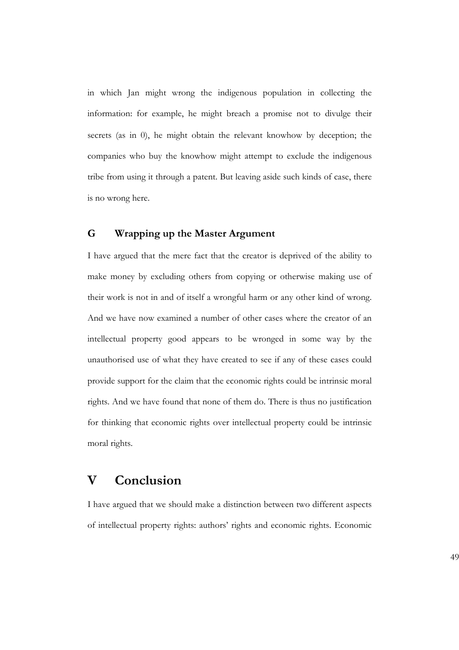in which Jan might wrong the indigenous population in collecting the information: for example, he might breach a promise not to divulge their secrets (as in 0), he might obtain the relevant knowhow by deception; the companies who buy the knowhow might attempt to exclude the indigenous tribe from using it through a patent. But leaving aside such kinds of case, there is no wrong here.

### **G Wrapping up the Master Argument**

I have argued that the mere fact that the creator is deprived of the ability to make money by excluding others from copying or otherwise making use of their work is not in and of itself a wrongful harm or any other kind of wrong. And we have now examined a number of other cases where the creator of an intellectual property good appears to be wronged in some way by the unauthorised use of what they have created to see if any of these cases could provide support for the claim that the economic rights could be intrinsic moral rights. And we have found that none of them do. There is thus no justification for thinking that economic rights over intellectual property could be intrinsic moral rights.

## **V Conclusion**

I have argued that we should make a distinction between two different aspects of intellectual property rights: authors' rights and economic rights. Economic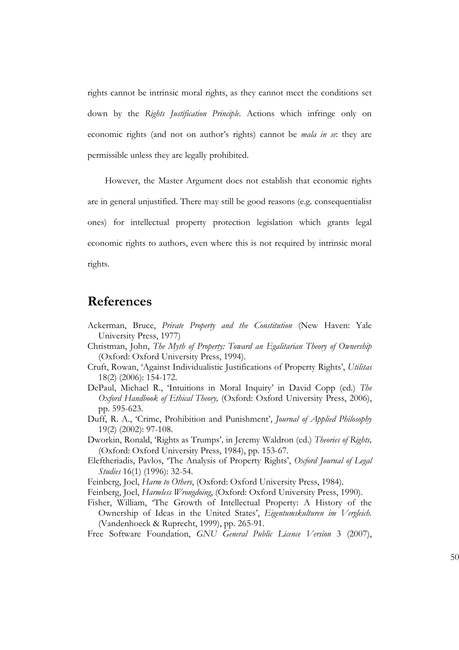rights cannot be intrinsic moral rights, as they cannot meet the conditions set down by the *Rights Justification Principle.* Actions which infringe only on economic rights (and not on author's rights) cannot be *mala in se*: they are permissible unless they are legally prohibited.

However, the Master Argument does not establish that economic rights are in general unjustified. There may still be good reasons (e.g. consequentialist ones) for intellectual property protection legislation which grants legal economic rights to authors, even where this is not required by intrinsic moral rights.

### **References**

- Ackerman, Bruce, *Private Property and the Constitution* (New Haven: Yale University Press, 1977)
- Christman, John, *The Myth of Property: Toward an Egalitarian Theory of Ownership* (Oxford: Oxford University Press, 1994).
- Cruft, Rowan, 'Against Individualistic Justifications of Property Rights', *Utilitas* 18(2) (2006): 154-172.
- DePaul, Michael R., 'Intuitions in Moral Inquiry' in David Copp (ed.) *The Oxford Handbook of Ethical Theory,* (Oxford: Oxford University Press, 2006), pp. 595-623.
- Duff, R. A., 'Crime, Prohibition and Punishment', *Journal of Applied Philosophy* 19(2) (2002): 97-108.
- Dworkin, Ronald, 'Rights as Trumps'*,* in Jeremy Waldron (ed.) *Theories of Rights,* (Oxford: Oxford University Press, 1984), pp. 153-67.
- Eleftheriadis, Pavlos, 'The Analysis of Property Rights', *Oxford Journal of Legal Studies* 16(1) (1996): 32-54.
- Feinberg, Joel, *Harm to Others*, (Oxford: Oxford University Press, 1984).
- Feinberg, Joel, *Harmless Wrongdoing*, (Oxford: Oxford University Press, 1990).
- Fisher, William, 'The Growth of Intellectual Property: A History of the Ownership of Ideas in the United States', *Eigentumskulturen im Vergleich.* (Vandenhoeck & Ruprecht, 1999), pp. 265-91.

Free Software Foundation, *GNU General Public Licence Version* 3 (2007),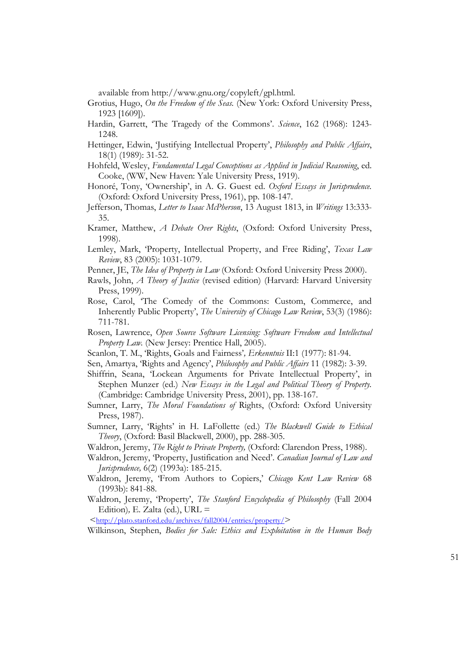available from http://www.gnu.org/copyleft/gpl.html.

- Grotius, Hugo, *On the Freedom of the Seas.* (New York: Oxford University Press, 1923 [1609]).
- Hardin, Garrett, 'The Tragedy of the Commons'. *Science*, 162 (1968): 1243- 1248.
- Hettinger, Edwin, 'Justifying Intellectual Property', *Philosophy and Public Affairs*, 18(1) (1989): 31-52.
- Hohfeld, Wesley, *Fundamental Legal Conceptions as Applied in Judicial Reasoning*, ed. Cooke, (WW, New Haven: Yale University Press, 1919).
- Honoré, Tony, 'Ownership', in A. G. Guest ed. *Oxford Essays in Jurisprudence.* (Oxford: Oxford University Press, 1961), pp. 108-147.
- Jefferson, Thomas, *Letter to Isaac McPherson*, 13 August 1813, in *Writings* 13:333- 35.
- Kramer, Matthew, *A Debate Over Rights*, (Oxford: Oxford University Press, 1998).
- Lemley, Mark, 'Property, Intellectual Property, and Free Riding', *Texas Law Review*, 83 (2005): 1031-1079.
- Penner, JE, *The Idea of Property in Law* (Oxford: Oxford University Press 2000).
- Rawls, John, *A Theory of Justice* (revised edition) (Harvard: Harvard University Press, 1999).
- Rose, Carol, 'The Comedy of the Commons: Custom, Commerce, and Inherently Public Property', *The University of Chicago Law Review*, 53(3) (1986): 711-781.
- Rosen, Lawrence, *Open Source Software Licensing: Software Freedom and Intellectual Property Law.* (New Jersey: Prentice Hall, 2005).
- Scanlon, T. M., 'Rights, Goals and Fairness'*, Erkenntnis* II:1 (1977): 81-94.
- Sen, Amartya, 'Rights and Agency', *Philosophy and Public Affairs* 11 (1982): 3-39.
- Shiffrin, Seana, 'Lockean Arguments for Private Intellectual Property', in Stephen Munzer (ed.) *New Essays in the Legal and Political Theory of Property.* (Cambridge: Cambridge University Press, 2001), pp. 138-167.
- Sumner, Larry, *The Moral Foundations of* Rights, (Oxford: Oxford University Press, 1987).
- Sumner, Larry, 'Rights' in H. LaFollette (ed.) *The Blackwell Guide to Ethical Theory*, (Oxford: Basil Blackwell, 2000), pp. 288-305.
- Waldron, Jeremy, *The Right to Private Property,* (Oxford: Clarendon Press, 1988).
- Waldron, Jeremy, 'Property, Justification and Need'. *Canadian Journal of Law and Jurisprudence,* 6(2) (1993a): 185-215.
- Waldron, Jeremy, 'From Authors to Copiers,' *Chicago Kent Law Review* 68 (1993b): 841-88.
- Waldron, Jeremy, 'Property', *The Stanford Encyclopedia of Philosophy* (Fall 2004 Edition)*,* E. Zalta (ed.), URL =

 $\langle \frac{\text{http://plate.stanford.edu/archives/fall2004/entries/property/}}$ 

Wilkinson, Stephen, *Bodies for Sale: Ethics and Exploitation in the Human Body*